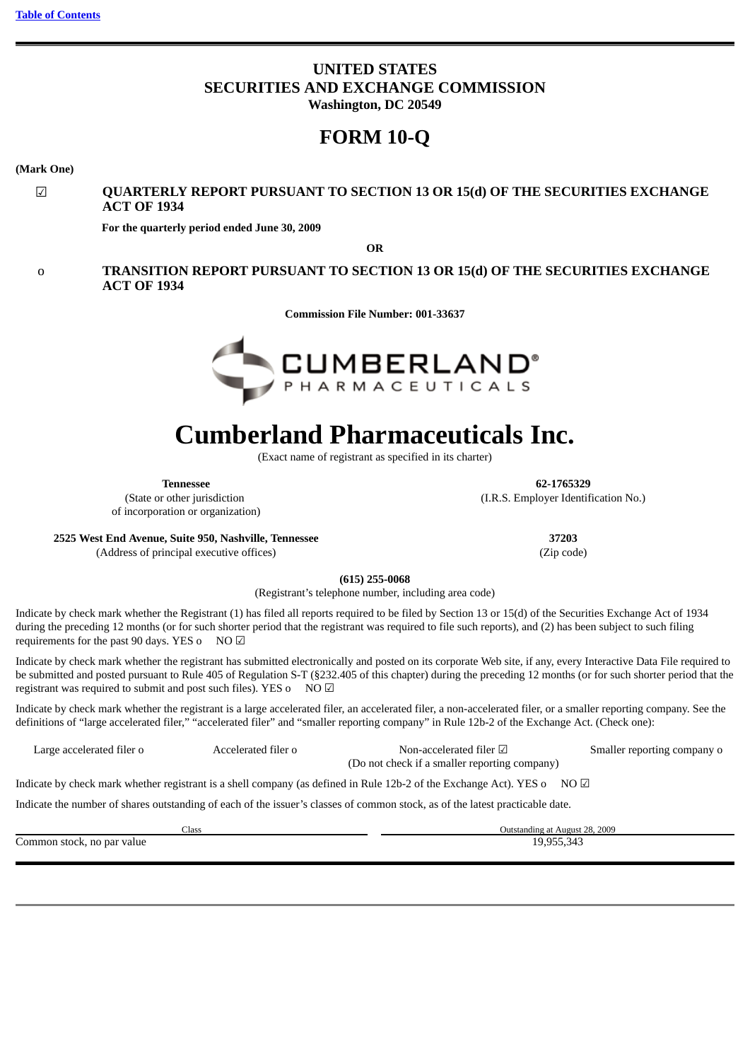# **UNITED STATES SECURITIES AND EXCHANGE COMMISSION Washington, DC 20549**

# **FORM 10-Q**

#### **(Mark One)**

☑ **QUARTERLY REPORT PURSUANT TO SECTION 13 OR 15(d) OF THE SECURITIES EXCHANGE ACT OF 1934**

**For the quarterly period ended June 30, 2009**

**OR**

# o **TRANSITION REPORT PURSUANT TO SECTION 13 OR 15(d) OF THE SECURITIES EXCHANGE ACT OF 1934**

**Commission File Number: 001-33637**



# **Cumberland Pharmaceuticals Inc.**

(Exact name of registrant as specified in its charter)

**Tennessee**

(State or other jurisdiction of incorporation or organization)

**62-1765329** (I.R.S. Employer Identification No.)

**2525 West End Avenue, Suite 950, Nashville, Tennessee**

(Address of principal executive offices)

**37203** (Zip code)

**(615) 255-0068**

(Registrant's telephone number, including area code)

Indicate by check mark whether the Registrant (1) has filed all reports required to be filed by Section 13 or 15(d) of the Securities Exchange Act of 1934 during the preceding 12 months (or for such shorter period that the registrant was required to file such reports), and (2) has been subject to such filing requirements for the past 90 days. YES o NO  $\boxtimes$ 

Indicate by check mark whether the registrant has submitted electronically and posted on its corporate Web site, if any, every Interactive Data File required to be submitted and posted pursuant to Rule 405 of Regulation S-T (§232.405 of this chapter) during the preceding 12 months (or for such shorter period that the registrant was required to submit and post such files). YES o NO  $\boxtimes$ 

Indicate by check mark whether the registrant is a large accelerated filer, an accelerated filer, a non-accelerated filer, or a smaller reporting company. See the definitions of "large accelerated filer," "accelerated filer" and "smaller reporting company" in Rule 12b-2 of the Exchange Act. (Check one):

Large accelerated filer o Accelerated filer o Non-accelerated filer ☑ Smaller reporting company o (Do not check if a smaller reporting company)

Indicate by check mark whether registrant is a shell company (as defined in Rule 12b-2 of the Exchange Act). YES o NO  $\boxtimes$ 

Indicate the number of shares outstanding of each of the issuer's classes of common stock, as of the latest practicable date.

Class Outstanding at August 28, 2009 Common stock, no par value 19,955,343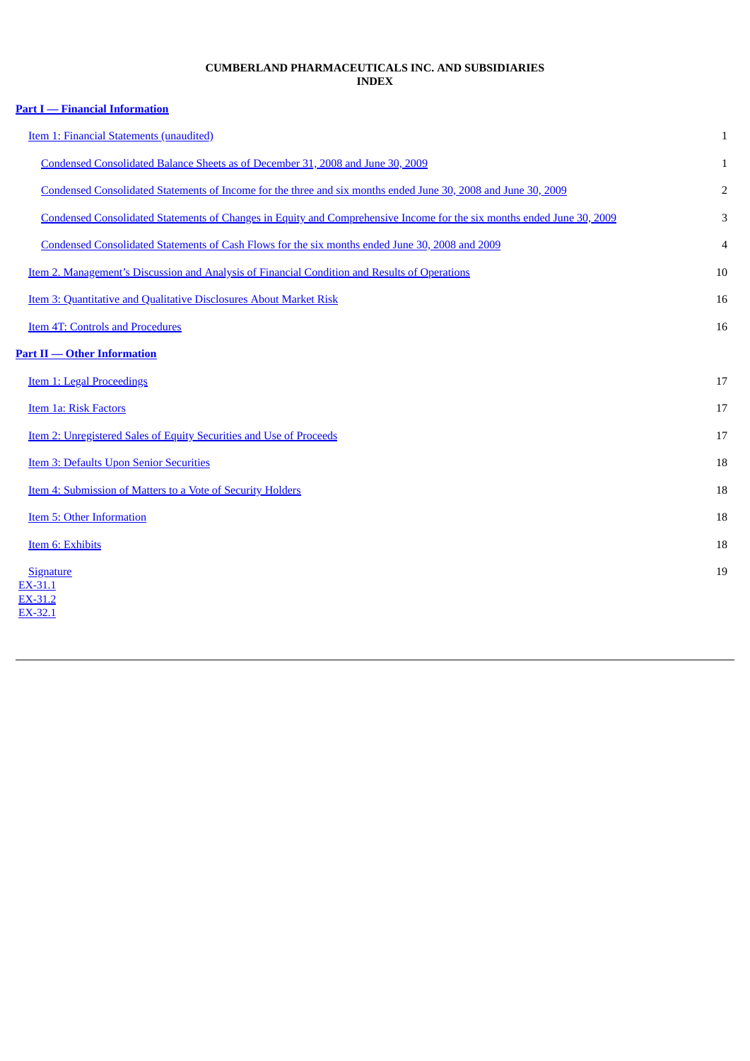#### **CUMBERLAND PHARMACEUTICALS INC. AND SUBSIDIARIES INDEX**

<span id="page-2-0"></span>

| <b>Part I</b> - Financial Information                                                                                  |                |
|------------------------------------------------------------------------------------------------------------------------|----------------|
| Item 1: Financial Statements (unaudited)                                                                               | 1              |
| Condensed Consolidated Balance Sheets as of December 31, 2008 and June 30, 2009                                        | $\mathbf{1}$   |
| Condensed Consolidated Statements of Income for the three and six months ended June 30, 2008 and June 30, 2009         | $\overline{2}$ |
| Condensed Consolidated Statements of Changes in Equity and Comprehensive Income for the six months ended June 30, 2009 | 3              |
| Condensed Consolidated Statements of Cash Flows for the six months ended June 30, 2008 and 2009                        | $\overline{4}$ |
| Item 2. Management's Discussion and Analysis of Financial Condition and Results of Operations                          | 10             |
| Item 3: Quantitative and Qualitative Disclosures About Market Risk                                                     | 16             |
| <b>Item 4T: Controls and Procedures</b>                                                                                | 16             |
| <b>Part II - Other Information</b>                                                                                     |                |
| <b>Item 1: Legal Proceedings</b>                                                                                       | 17             |
| <b>Item 1a: Risk Factors</b>                                                                                           | 17             |
| Item 2: Unregistered Sales of Equity Securities and Use of Proceeds                                                    | 17             |
| <b>Item 3: Defaults Upon Senior Securities</b>                                                                         | 18             |
| Item 4: Submission of Matters to a Vote of Security Holders                                                            | 18             |
| <b>Item 5: Other Information</b>                                                                                       | 18             |
| Item 6: Exhibits                                                                                                       | 18             |
| <b>Signature</b>                                                                                                       | 19             |
| EX-31.1<br>EX-31.2<br>EX-32.1                                                                                          |                |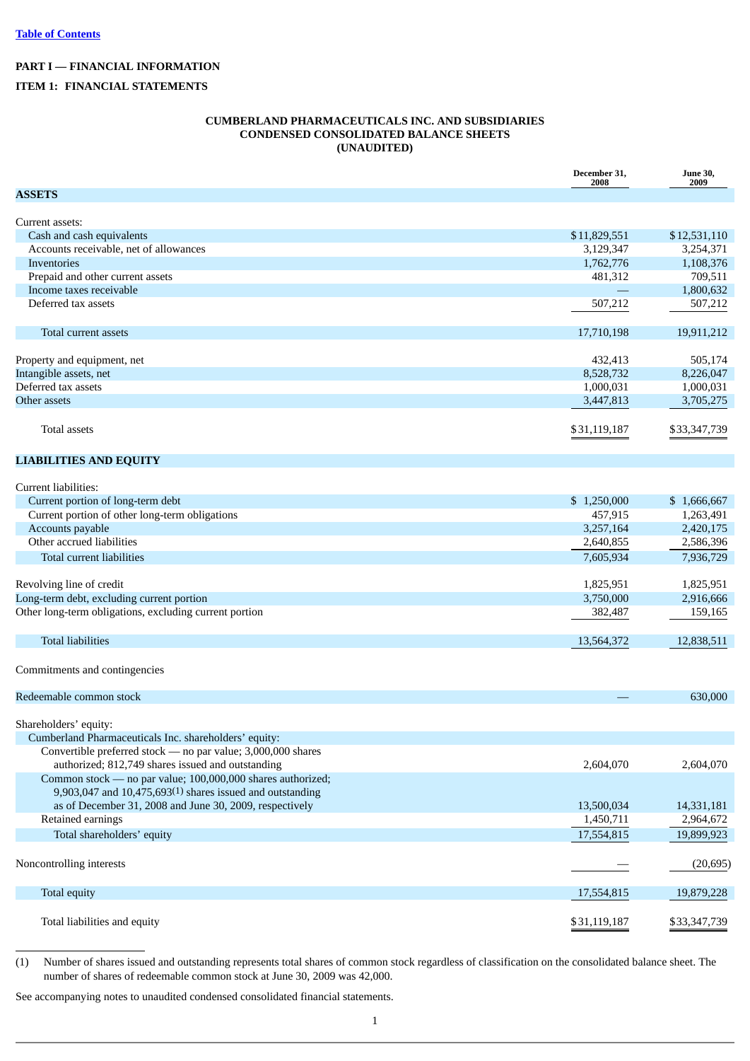# <span id="page-3-2"></span><span id="page-3-1"></span><span id="page-3-0"></span>**PART I — FINANCIAL INFORMATION ITEM 1: FINANCIAL STATEMENTS**

#### **CUMBERLAND PHARMACEUTICALS INC. AND SUBSIDIARIES CONDENSED CONSOLIDATED BALANCE SHEETS (UNAUDITED)**

|                                                              | December 31,<br>2008 | <b>June 30,</b><br>2009 |
|--------------------------------------------------------------|----------------------|-------------------------|
| <b>ASSETS</b>                                                |                      |                         |
|                                                              |                      |                         |
| Current assets:                                              |                      |                         |
| Cash and cash equivalents                                    | \$11,829,551         | \$12,531,110            |
| Accounts receivable, net of allowances                       | 3,129,347            | 3,254,371               |
| Inventories                                                  | 1,762,776            | 1,108,376               |
| Prepaid and other current assets                             | 481,312              | 709,511                 |
| Income taxes receivable<br>Deferred tax assets               |                      | 1,800,632               |
|                                                              | 507,212              | 507,212                 |
| Total current assets                                         | 17,710,198           | 19,911,212              |
| Property and equipment, net                                  | 432,413              | 505,174                 |
| Intangible assets, net                                       | 8,528,732            | 8,226,047               |
| Deferred tax assets                                          | 1,000,031            | 1,000,031               |
| Other assets                                                 | 3,447,813            | 3,705,275               |
|                                                              |                      |                         |
| <b>Total assets</b>                                          | \$31,119,187         | \$33,347,739            |
| <b>LIABILITIES AND EQUITY</b>                                |                      |                         |
| Current liabilities:                                         |                      |                         |
| Current portion of long-term debt                            | \$1,250,000          | \$1,666,667             |
| Current portion of other long-term obligations               | 457,915              | 1,263,491               |
| Accounts payable                                             | 3,257,164            | 2,420,175               |
| Other accrued liabilities                                    | 2,640,855            | 2,586,396               |
| Total current liabilities                                    |                      |                         |
|                                                              | 7,605,934            | 7,936,729               |
| Revolving line of credit                                     | 1,825,951            | 1,825,951               |
| Long-term debt, excluding current portion                    | 3,750,000            | 2,916,666               |
| Other long-term obligations, excluding current portion       | 382,487              | 159,165                 |
|                                                              |                      |                         |
| <b>Total liabilities</b>                                     | 13,564,372           | 12,838,511              |
| Commitments and contingencies                                |                      |                         |
|                                                              |                      |                         |
| Redeemable common stock                                      |                      | 630,000                 |
| Shareholders' equity:                                        |                      |                         |
| Cumberland Pharmaceuticals Inc. shareholders' equity:        |                      |                         |
| Convertible preferred stock - no par value; 3,000,000 shares |                      |                         |
| authorized; 812,749 shares issued and outstanding            | 2,604,070            | 2,604,070               |
| Common stock - no par value; 100,000,000 shares authorized;  |                      |                         |
| 9,903,047 and $10,475,693(1)$ shares issued and outstanding  |                      |                         |
| as of December 31, 2008 and June 30, 2009, respectively      | 13,500,034           | 14,331,181              |
| Retained earnings                                            | 1,450,711            | 2,964,672               |
| Total shareholders' equity                                   | 17,554,815           | 19,899,923              |
|                                                              |                      |                         |
| Noncontrolling interests                                     |                      | (20, 695)               |
|                                                              |                      |                         |
| Total equity                                                 | 17,554,815           | 19,879,228              |
| Total liabilities and equity                                 | \$31,119,187         | \$33,347,739            |

(1) Number of shares issued and outstanding represents total shares of common stock regardless of classification on the consolidated balance sheet. The number of shares of redeemable common stock at June 30, 2009 was 42,000.

See accompanying notes to unaudited condensed consolidated financial statements.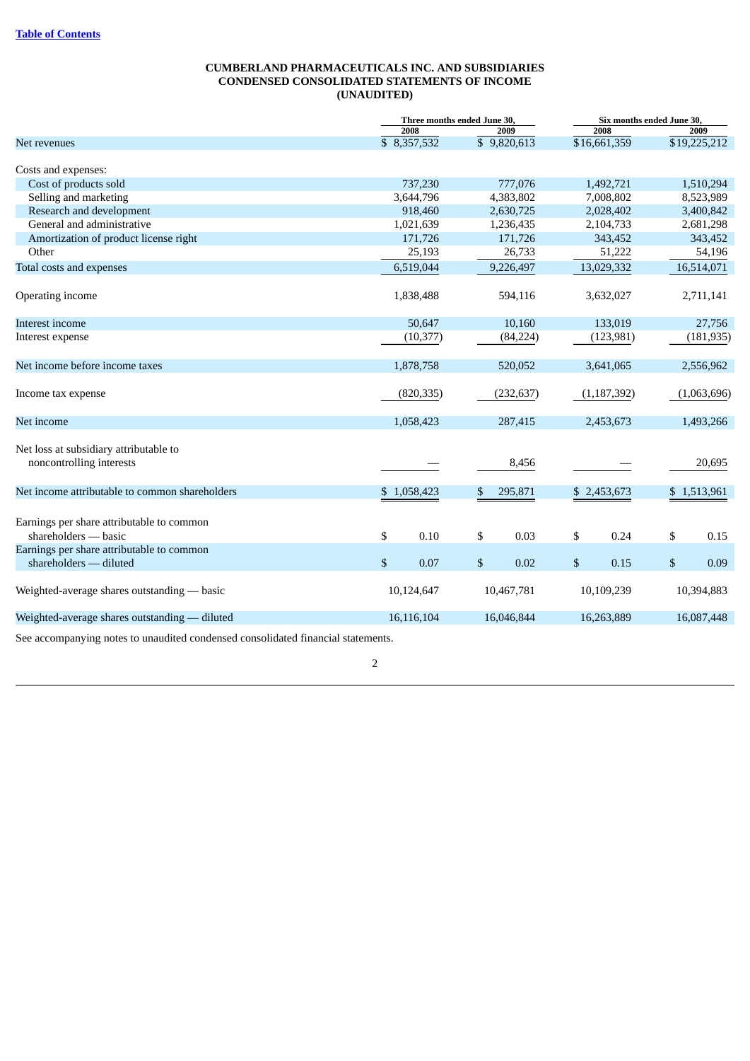#### **CUMBERLAND PHARMACEUTICALS INC. AND SUBSIDIARIES CONDENSED CONSOLIDATED STATEMENTS OF INCOME (UNAUDITED)**

<span id="page-4-0"></span>

|                                                                                  |             | Three months ended June 30, |               | Six months ended June 30, |  |
|----------------------------------------------------------------------------------|-------------|-----------------------------|---------------|---------------------------|--|
|                                                                                  | 2008        | 2009                        | 2008          | 2009                      |  |
| Net revenues                                                                     | \$8,357,532 | \$9,820,613                 | \$16,661,359  | \$19,225,212              |  |
| Costs and expenses:                                                              |             |                             |               |                           |  |
| Cost of products sold                                                            | 737,230     | 777,076                     | 1,492,721     | 1,510,294                 |  |
| Selling and marketing                                                            | 3,644,796   | 4,383,802                   | 7,008,802     | 8,523,989                 |  |
| Research and development                                                         | 918,460     | 2,630,725                   | 2,028,402     | 3,400,842                 |  |
| General and administrative                                                       | 1,021,639   | 1,236,435                   | 2,104,733     | 2,681,298                 |  |
| Amortization of product license right                                            | 171,726     | 171,726                     | 343,452       | 343,452                   |  |
| Other                                                                            | 25,193      | 26,733                      | 51,222        | 54,196                    |  |
| Total costs and expenses                                                         | 6,519,044   | 9,226,497                   | 13,029,332    | 16,514,071                |  |
| Operating income                                                                 | 1,838,488   | 594,116                     | 3,632,027     | 2,711,141                 |  |
| Interest income                                                                  | 50,647      | 10,160                      | 133,019       | 27,756                    |  |
| Interest expense                                                                 | (10, 377)   | (84, 224)                   | (123, 981)    | (181, 935)                |  |
| Net income before income taxes                                                   | 1,878,758   | 520,052                     | 3,641,065     | 2,556,962                 |  |
| Income tax expense                                                               | (820, 335)  | (232, 637)                  | (1, 187, 392) | (1,063,696)               |  |
| Net income                                                                       | 1,058,423   | 287,415                     | 2,453,673     | 1,493,266                 |  |
| Net loss at subsidiary attributable to<br>noncontrolling interests               |             | 8,456                       |               | 20,695                    |  |
| Net income attributable to common shareholders                                   | \$1,058,423 | \$<br>295,871               | \$2,453,673   | \$1,513,961               |  |
| Earnings per share attributable to common<br>shareholders — basic                | \$<br>0.10  | 0.03<br>\$                  | 0.24<br>\$    | \$<br>0.15                |  |
| Earnings per share attributable to common<br>shareholders - diluted              | \$<br>0.07  | \$<br>0.02                  | \$<br>0.15    | \$<br>0.09                |  |
| Weighted-average shares outstanding — basic                                      | 10,124,647  | 10,467,781                  | 10,109,239    | 10,394,883                |  |
| Weighted-average shares outstanding — diluted                                    | 16,116,104  | 16,046,844                  | 16,263,889    | 16,087,448                |  |
| See accompanying notes to unaudited condensed consolidated financial statements. |             |                             |               |                           |  |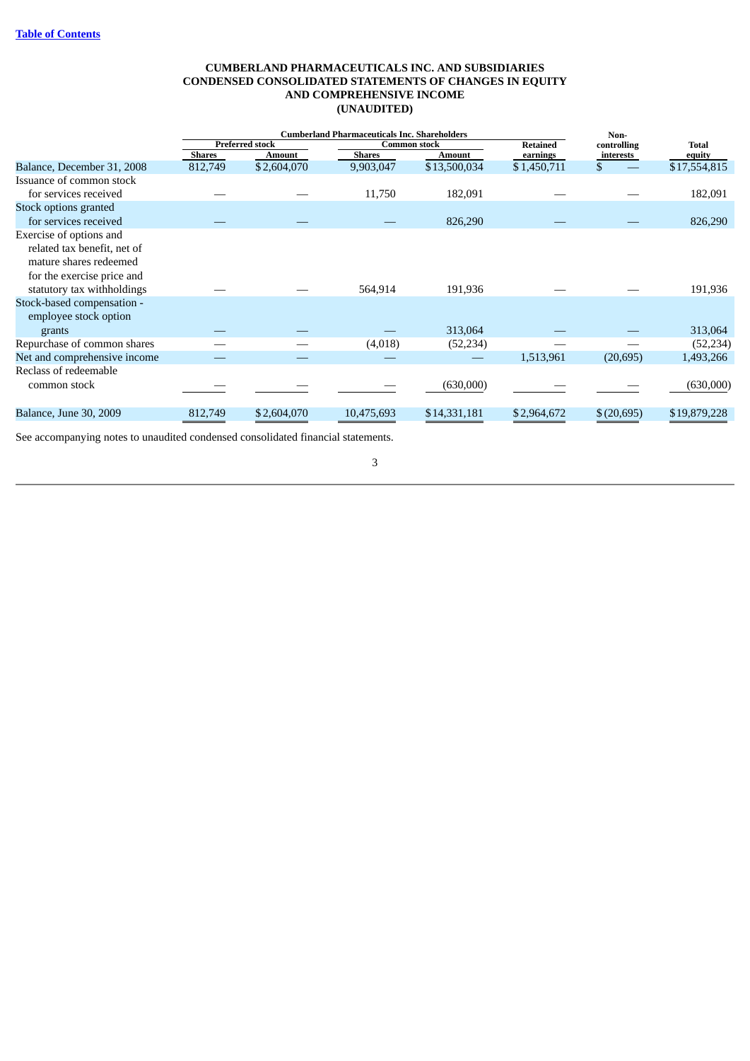#### **CUMBERLAND PHARMACEUTICALS INC. AND SUBSIDIARIES CONDENSED CONSOLIDATED STATEMENTS OF CHANGES IN EQUITY AND COMPREHENSIVE INCOME (UNAUDITED)**

<span id="page-5-0"></span>

|                              | <b>Cumberland Pharmaceuticals Inc. Shareholders</b> |                        |                     | Non-         |                 |             |              |
|------------------------------|-----------------------------------------------------|------------------------|---------------------|--------------|-----------------|-------------|--------------|
|                              |                                                     | <b>Preferred stock</b> | <b>Common stock</b> |              | <b>Retained</b> | controlling | <b>Total</b> |
|                              | <b>Shares</b>                                       | Amount                 | <b>Shares</b>       | Amount       | earnings        | interests   | equity       |
| Balance, December 31, 2008   | 812,749                                             | \$2,604,070            | 9,903,047           | \$13,500,034 | \$1,450,711     | \$          | \$17,554,815 |
| Issuance of common stock     |                                                     |                        |                     |              |                 |             |              |
| for services received        |                                                     |                        | 11,750              | 182,091      |                 |             | 182,091      |
| Stock options granted        |                                                     |                        |                     |              |                 |             |              |
| for services received        |                                                     |                        |                     | 826,290      |                 |             | 826,290      |
| Exercise of options and      |                                                     |                        |                     |              |                 |             |              |
| related tax benefit, net of  |                                                     |                        |                     |              |                 |             |              |
| mature shares redeemed       |                                                     |                        |                     |              |                 |             |              |
| for the exercise price and   |                                                     |                        |                     |              |                 |             |              |
| statutory tax withholdings   |                                                     |                        | 564,914             | 191,936      |                 |             | 191,936      |
| Stock-based compensation -   |                                                     |                        |                     |              |                 |             |              |
| employee stock option        |                                                     |                        |                     |              |                 |             |              |
| grants                       |                                                     |                        |                     | 313,064      |                 |             | 313,064      |
| Repurchase of common shares  |                                                     |                        | (4,018)             | (52, 234)    |                 |             | (52, 234)    |
| Net and comprehensive income |                                                     |                        |                     |              | 1,513,961       | (20, 695)   | 1,493,266    |
| Reclass of redeemable        |                                                     |                        |                     |              |                 |             |              |
| common stock                 |                                                     |                        |                     | (630,000)    |                 |             | (630,000)    |
| Balance, June 30, 2009       | 812,749                                             | \$2,604,070            | 10,475,693          | \$14,331,181 | \$2,964,672     | \$(20,695)  | \$19,879,228 |
|                              |                                                     |                        |                     |              |                 |             |              |

See accompanying notes to unaudited condensed consolidated financial statements.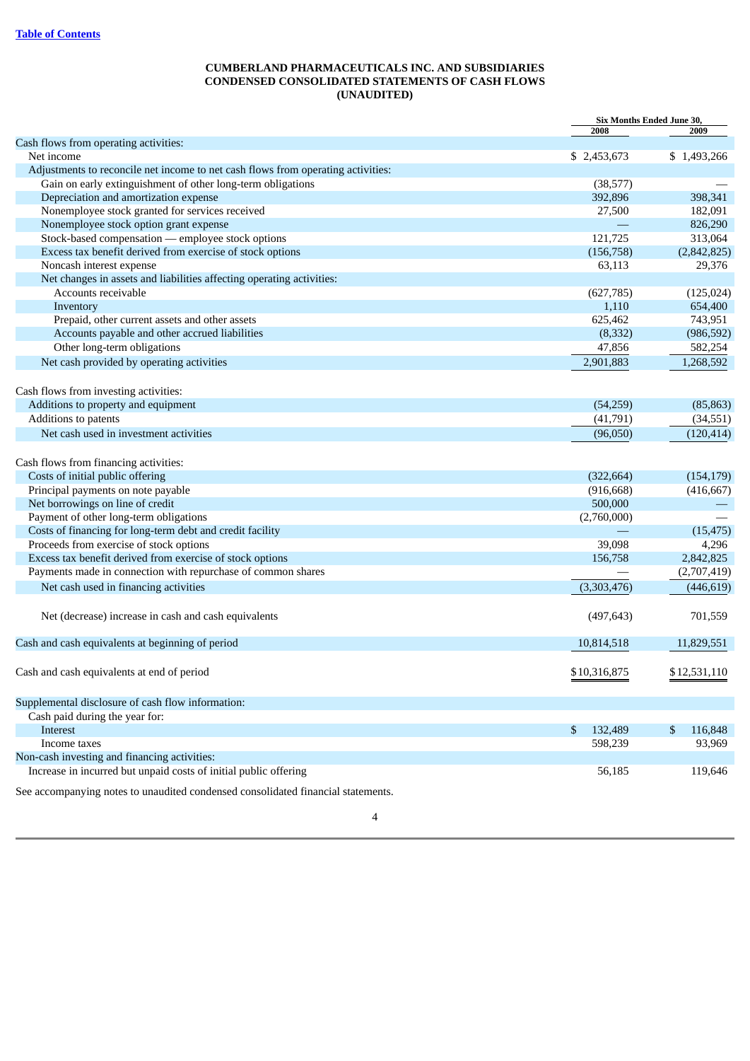# **CUMBERLAND PHARMACEUTICALS INC. AND SUBSIDIARIES CONDENSED CONSOLIDATED STATEMENTS OF CASH FLOWS (UNAUDITED)**

<span id="page-6-0"></span>

|                                                                                  | Six Months Ended June 30, |               |
|----------------------------------------------------------------------------------|---------------------------|---------------|
|                                                                                  | 2008                      | 2009          |
| Cash flows from operating activities:                                            |                           |               |
| Net income                                                                       | \$2,453,673               | \$1,493,266   |
| Adjustments to reconcile net income to net cash flows from operating activities: |                           |               |
| Gain on early extinguishment of other long-term obligations                      | (38, 577)                 |               |
| Depreciation and amortization expense                                            | 392,896                   | 398,341       |
| Nonemployee stock granted for services received                                  | 27,500                    | 182,091       |
| Nonemployee stock option grant expense                                           |                           | 826,290       |
| Stock-based compensation - employee stock options                                | 121,725                   | 313,064       |
| Excess tax benefit derived from exercise of stock options                        | (156, 758)                | (2,842,825)   |
| Noncash interest expense                                                         | 63,113                    | 29,376        |
| Net changes in assets and liabilities affecting operating activities:            |                           |               |
| Accounts receivable                                                              | (627, 785)                | (125, 024)    |
| Inventory                                                                        | 1,110                     | 654,400       |
| Prepaid, other current assets and other assets                                   | 625,462                   | 743,951       |
| Accounts payable and other accrued liabilities                                   | (8, 332)                  | (986, 592)    |
| Other long-term obligations                                                      | 47,856                    | 582,254       |
| Net cash provided by operating activities                                        | 2,901,883                 | 1,268,592     |
|                                                                                  |                           |               |
| Cash flows from investing activities:                                            |                           |               |
| Additions to property and equipment                                              |                           | (85, 863)     |
|                                                                                  | (54,259)                  |               |
| Additions to patents                                                             | (41,791)                  | (34, 551)     |
| Net cash used in investment activities                                           | (96,050)                  | (120, 414)    |
|                                                                                  |                           |               |
| Cash flows from financing activities:                                            |                           |               |
| Costs of initial public offering                                                 | (322, 664)                | (154, 179)    |
| Principal payments on note payable                                               | (916, 668)                | (416, 667)    |
| Net borrowings on line of credit                                                 | 500,000                   |               |
| Payment of other long-term obligations                                           | (2,760,000)               |               |
| Costs of financing for long-term debt and credit facility                        |                           | (15, 475)     |
| Proceeds from exercise of stock options                                          | 39,098                    | 4,296         |
| Excess tax benefit derived from exercise of stock options                        | 156,758                   | 2,842,825     |
| Payments made in connection with repurchase of common shares                     |                           | (2,707,419)   |
| Net cash used in financing activities                                            | (3,303,476)               | (446, 619)    |
|                                                                                  |                           |               |
| Net (decrease) increase in cash and cash equivalents                             | (497, 643)                | 701,559       |
|                                                                                  |                           |               |
| Cash and cash equivalents at beginning of period                                 | 10,814,518                | 11,829,551    |
|                                                                                  |                           |               |
|                                                                                  |                           |               |
| Cash and cash equivalents at end of period                                       | \$10,316,875              | \$12,531,110  |
|                                                                                  |                           |               |
| Supplemental disclosure of cash flow information:                                |                           |               |
| Cash paid during the year for:                                                   |                           |               |
| <b>Interest</b>                                                                  | 132,489<br>\$             | \$<br>116,848 |
| Income taxes                                                                     | 598,239                   | 93,969        |
| Non-cash investing and financing activities:                                     |                           |               |
| Increase in incurred but unpaid costs of initial public offering                 | 56,185                    | 119,646       |
|                                                                                  |                           |               |
| See accompanying notes to unaudited condensed consolidated financial statements. |                           |               |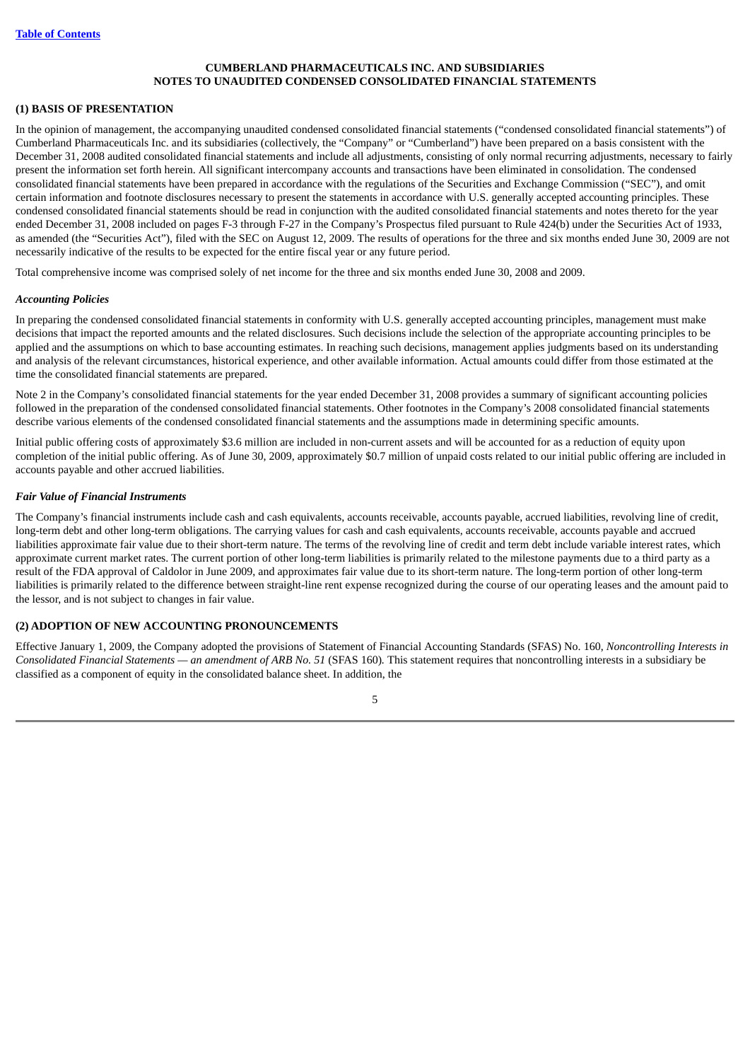#### **(1) BASIS OF PRESENTATION**

In the opinion of management, the accompanying unaudited condensed consolidated financial statements ("condensed consolidated financial statements") of Cumberland Pharmaceuticals Inc. and its subsidiaries (collectively, the "Company" or "Cumberland") have been prepared on a basis consistent with the December 31, 2008 audited consolidated financial statements and include all adjustments, consisting of only normal recurring adjustments, necessary to fairly present the information set forth herein. All significant intercompany accounts and transactions have been eliminated in consolidation. The condensed consolidated financial statements have been prepared in accordance with the regulations of the Securities and Exchange Commission ("SEC"), and omit certain information and footnote disclosures necessary to present the statements in accordance with U.S. generally accepted accounting principles. These condensed consolidated financial statements should be read in conjunction with the audited consolidated financial statements and notes thereto for the year ended December 31, 2008 included on pages F-3 through F-27 in the Company's Prospectus filed pursuant to Rule 424(b) under the Securities Act of 1933, as amended (the "Securities Act"), filed with the SEC on August 12, 2009. The results of operations for the three and six months ended June 30, 2009 are not necessarily indicative of the results to be expected for the entire fiscal year or any future period.

Total comprehensive income was comprised solely of net income for the three and six months ended June 30, 2008 and 2009.

#### *Accounting Policies*

In preparing the condensed consolidated financial statements in conformity with U.S. generally accepted accounting principles, management must make decisions that impact the reported amounts and the related disclosures. Such decisions include the selection of the appropriate accounting principles to be applied and the assumptions on which to base accounting estimates. In reaching such decisions, management applies judgments based on its understanding and analysis of the relevant circumstances, historical experience, and other available information. Actual amounts could differ from those estimated at the time the consolidated financial statements are prepared.

Note 2 in the Company's consolidated financial statements for the year ended December 31, 2008 provides a summary of significant accounting policies followed in the preparation of the condensed consolidated financial statements. Other footnotes in the Company's 2008 consolidated financial statements describe various elements of the condensed consolidated financial statements and the assumptions made in determining specific amounts.

Initial public offering costs of approximately \$3.6 million are included in non-current assets and will be accounted for as a reduction of equity upon completion of the initial public offering. As of June 30, 2009, approximately \$0.7 million of unpaid costs related to our initial public offering are included in accounts payable and other accrued liabilities.

#### *Fair Value of Financial Instruments*

The Company's financial instruments include cash and cash equivalents, accounts receivable, accounts payable, accrued liabilities, revolving line of credit, long-term debt and other long-term obligations. The carrying values for cash and cash equivalents, accounts receivable, accounts payable and accrued liabilities approximate fair value due to their short-term nature. The terms of the revolving line of credit and term debt include variable interest rates, which approximate current market rates. The current portion of other long-term liabilities is primarily related to the milestone payments due to a third party as a result of the FDA approval of Caldolor in June 2009, and approximates fair value due to its short-term nature. The long-term portion of other long-term liabilities is primarily related to the difference between straight-line rent expense recognized during the course of our operating leases and the amount paid to the lessor, and is not subject to changes in fair value.

## **(2) ADOPTION OF NEW ACCOUNTING PRONOUNCEMENTS**

Effective January 1, 2009, the Company adopted the provisions of Statement of Financial Accounting Standards (SFAS) No. 160, *Noncontrolling Interests in Consolidated Financial Statements — an amendment of ARB No. 51* (SFAS 160)*.* This statement requires that noncontrolling interests in a subsidiary be classified as a component of equity in the consolidated balance sheet. In addition, the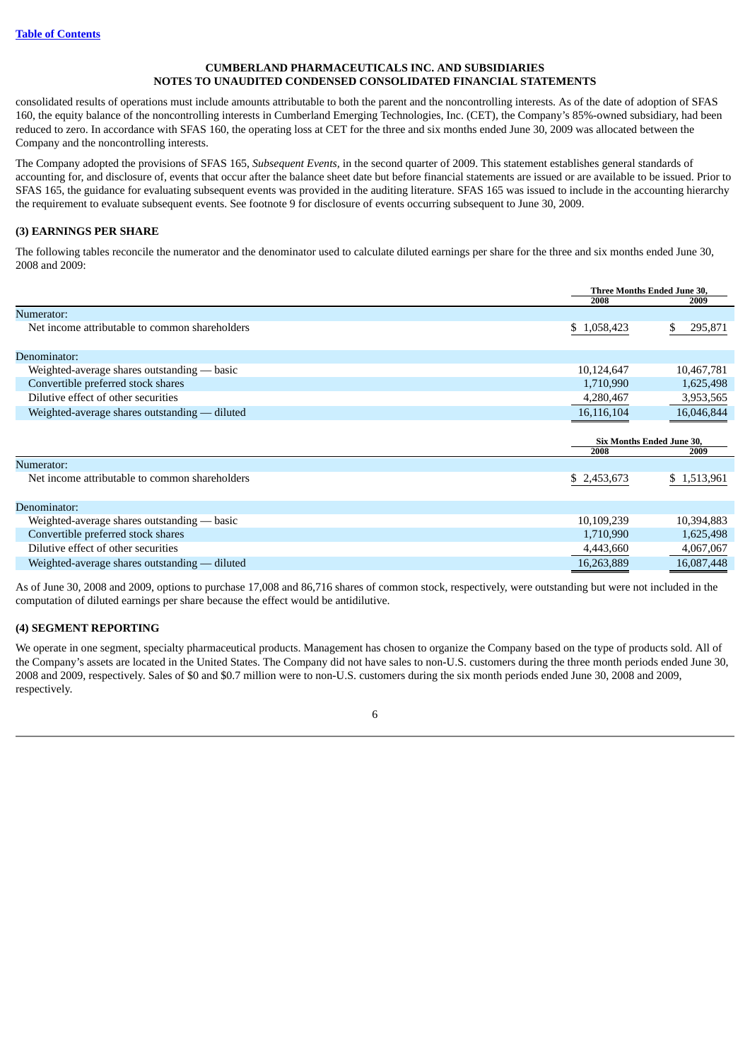consolidated results of operations must include amounts attributable to both the parent and the noncontrolling interests. As of the date of adoption of SFAS 160, the equity balance of the noncontrolling interests in Cumberland Emerging Technologies, Inc. (CET), the Company's 85%-owned subsidiary, had been reduced to zero. In accordance with SFAS 160, the operating loss at CET for the three and six months ended June 30, 2009 was allocated between the Company and the noncontrolling interests.

The Company adopted the provisions of SFAS 165, *Subsequent Events,* in the second quarter of 2009. This statement establishes general standards of accounting for, and disclosure of, events that occur after the balance sheet date but before financial statements are issued or are available to be issued. Prior to SFAS 165, the guidance for evaluating subsequent events was provided in the auditing literature. SFAS 165 was issued to include in the accounting hierarchy the requirement to evaluate subsequent events. See footnote 9 for disclosure of events occurring subsequent to June 30, 2009.

#### **(3) EARNINGS PER SHARE**

The following tables reconcile the numerator and the denominator used to calculate diluted earnings per share for the three and six months ended June 30, 2008 and 2009:

|                                                |             | <b>Three Months Ended June 30,</b> |  |
|------------------------------------------------|-------------|------------------------------------|--|
|                                                | 2008        | 2009                               |  |
| Numerator:                                     |             |                                    |  |
| Net income attributable to common shareholders | \$1,058,423 | 295,871<br>\$                      |  |
| Denominator:                                   |             |                                    |  |
| Weighted-average shares outstanding — basic    | 10,124,647  | 10,467,781                         |  |
| Convertible preferred stock shares             | 1,710,990   | 1,625,498                          |  |
| Dilutive effect of other securities            | 4,280,467   | 3,953,565                          |  |
| Weighted-average shares outstanding - diluted  | 16,116,104  | 16,046,844                         |  |
|                                                |             |                                    |  |
|                                                |             |                                    |  |
|                                                |             | Six Months Ended June 30,          |  |
|                                                | 2008        | 2009                               |  |
| Numerator:                                     |             |                                    |  |
| Net income attributable to common shareholders | \$2,453,673 | \$1,513,961                        |  |
|                                                |             |                                    |  |
| Denominator:                                   |             |                                    |  |
| Weighted-average shares outstanding — basic    | 10,109,239  | 10,394,883                         |  |
| Convertible preferred stock shares             | 1,710,990   | 1,625,498                          |  |
| Dilutive effect of other securities            | 4,443,660   | 4,067,067                          |  |
| Weighted-average shares outstanding — diluted  | 16,263,889  | 16,087,448                         |  |

As of June 30, 2008 and 2009, options to purchase 17,008 and 86,716 shares of common stock, respectively, were outstanding but were not included in the computation of diluted earnings per share because the effect would be antidilutive.

#### **(4) SEGMENT REPORTING**

We operate in one segment, specialty pharmaceutical products. Management has chosen to organize the Company based on the type of products sold. All of the Company's assets are located in the United States. The Company did not have sales to non-U.S. customers during the three month periods ended June 30, 2008 and 2009, respectively. Sales of \$0 and \$0.7 million were to non-U.S. customers during the six month periods ended June 30, 2008 and 2009, respectively.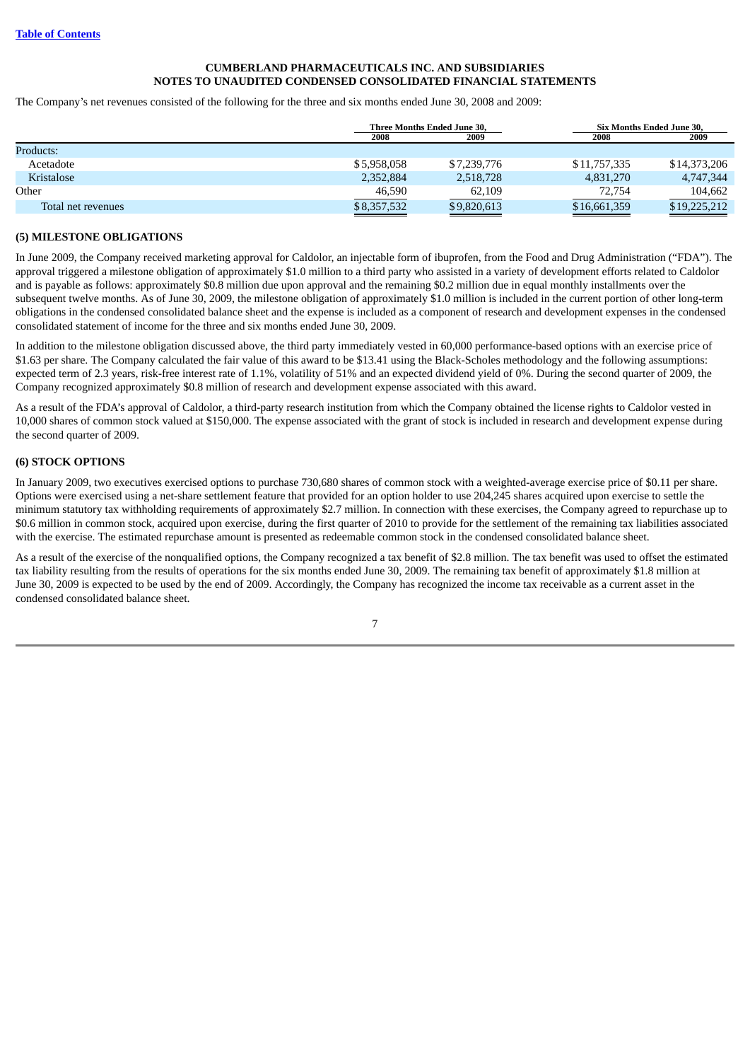The Company's net revenues consisted of the following for the three and six months ended June 30, 2008 and 2009:

| <b>Three Months Ended June 30.</b> |             | <b>Six Months Ended June 30.</b> |              |
|------------------------------------|-------------|----------------------------------|--------------|
| 2008                               | 2009        | 2008                             | 2009         |
|                                    |             |                                  |              |
| \$5,958,058                        | \$7,239,776 | \$11,757,335                     | \$14,373,206 |
| 2,352,884                          | 2,518,728   | 4,831,270                        | 4,747,344    |
| 46,590                             | 62,109      | 72,754                           | 104,662      |
| \$8,357,532                        | \$9,820,613 | \$16,661,359                     | \$19,225,212 |
|                                    |             |                                  |              |

#### **(5) MILESTONE OBLIGATIONS**

In June 2009, the Company received marketing approval for Caldolor, an injectable form of ibuprofen, from the Food and Drug Administration ("FDA"). The approval triggered a milestone obligation of approximately \$1.0 million to a third party who assisted in a variety of development efforts related to Caldolor and is payable as follows: approximately \$0.8 million due upon approval and the remaining \$0.2 million due in equal monthly installments over the subsequent twelve months. As of June 30, 2009, the milestone obligation of approximately \$1.0 million is included in the current portion of other long-term obligations in the condensed consolidated balance sheet and the expense is included as a component of research and development expenses in the condensed consolidated statement of income for the three and six months ended June 30, 2009.

In addition to the milestone obligation discussed above, the third party immediately vested in 60,000 performance-based options with an exercise price of \$1.63 per share. The Company calculated the fair value of this award to be \$13.41 using the Black-Scholes methodology and the following assumptions: expected term of 2.3 years, risk-free interest rate of 1.1%, volatility of 51% and an expected dividend yield of 0%. During the second quarter of 2009, the Company recognized approximately \$0.8 million of research and development expense associated with this award.

As a result of the FDA's approval of Caldolor, a third-party research institution from which the Company obtained the license rights to Caldolor vested in 10,000 shares of common stock valued at \$150,000. The expense associated with the grant of stock is included in research and development expense during the second quarter of 2009.

#### **(6) STOCK OPTIONS**

In January 2009, two executives exercised options to purchase 730,680 shares of common stock with a weighted-average exercise price of \$0.11 per share. Options were exercised using a net-share settlement feature that provided for an option holder to use 204,245 shares acquired upon exercise to settle the minimum statutory tax withholding requirements of approximately \$2.7 million. In connection with these exercises, the Company agreed to repurchase up to \$0.6 million in common stock, acquired upon exercise, during the first quarter of 2010 to provide for the settlement of the remaining tax liabilities associated with the exercise. The estimated repurchase amount is presented as redeemable common stock in the condensed consolidated balance sheet.

As a result of the exercise of the nonqualified options, the Company recognized a tax benefit of \$2.8 million. The tax benefit was used to offset the estimated tax liability resulting from the results of operations for the six months ended June 30, 2009. The remaining tax benefit of approximately \$1.8 million at June 30, 2009 is expected to be used by the end of 2009. Accordingly, the Company has recognized the income tax receivable as a current asset in the condensed consolidated balance sheet.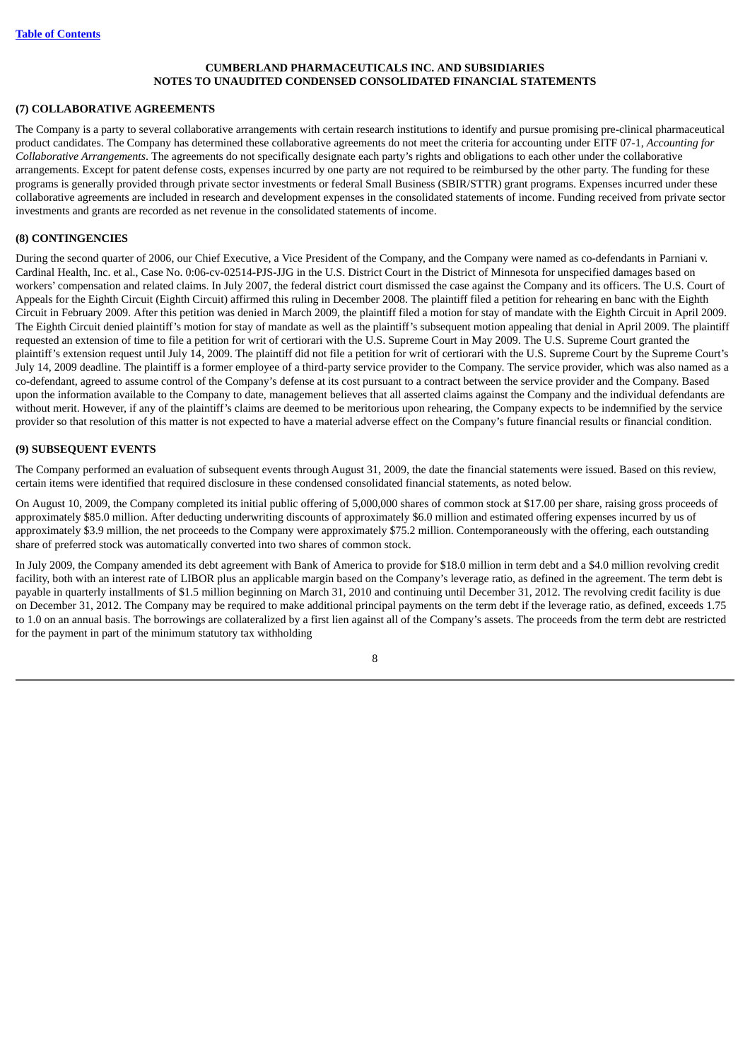#### **(7) COLLABORATIVE AGREEMENTS**

The Company is a party to several collaborative arrangements with certain research institutions to identify and pursue promising pre-clinical pharmaceutical product candidates. The Company has determined these collaborative agreements do not meet the criteria for accounting under EITF 07-1, *Accounting for Collaborative Arrangements*. The agreements do not specifically designate each party's rights and obligations to each other under the collaborative arrangements. Except for patent defense costs, expenses incurred by one party are not required to be reimbursed by the other party. The funding for these programs is generally provided through private sector investments or federal Small Business (SBIR/STTR) grant programs. Expenses incurred under these collaborative agreements are included in research and development expenses in the consolidated statements of income. Funding received from private sector investments and grants are recorded as net revenue in the consolidated statements of income.

#### **(8) CONTINGENCIES**

During the second quarter of 2006, our Chief Executive, a Vice President of the Company, and the Company were named as co-defendants in Parniani v. Cardinal Health, Inc. et al., Case No. 0:06-cv-02514-PJS-JJG in the U.S. District Court in the District of Minnesota for unspecified damages based on workers' compensation and related claims. In July 2007, the federal district court dismissed the case against the Company and its officers. The U.S. Court of Appeals for the Eighth Circuit (Eighth Circuit) affirmed this ruling in December 2008. The plaintiff filed a petition for rehearing en banc with the Eighth Circuit in February 2009. After this petition was denied in March 2009, the plaintiff filed a motion for stay of mandate with the Eighth Circuit in April 2009. The Eighth Circuit denied plaintiff's motion for stay of mandate as well as the plaintiff's subsequent motion appealing that denial in April 2009. The plaintiff requested an extension of time to file a petition for writ of certiorari with the U.S. Supreme Court in May 2009. The U.S. Supreme Court granted the plaintiff's extension request until July 14, 2009. The plaintiff did not file a petition for writ of certiorari with the U.S. Supreme Court by the Supreme Court's July 14, 2009 deadline. The plaintiff is a former employee of a third-party service provider to the Company. The service provider, which was also named as a co-defendant, agreed to assume control of the Company's defense at its cost pursuant to a contract between the service provider and the Company. Based upon the information available to the Company to date, management believes that all asserted claims against the Company and the individual defendants are without merit. However, if any of the plaintiff's claims are deemed to be meritorious upon rehearing, the Company expects to be indemnified by the service provider so that resolution of this matter is not expected to have a material adverse effect on the Company's future financial results or financial condition.

#### **(9) SUBSEQUENT EVENTS**

The Company performed an evaluation of subsequent events through August 31, 2009, the date the financial statements were issued. Based on this review, certain items were identified that required disclosure in these condensed consolidated financial statements, as noted below.

On August 10, 2009, the Company completed its initial public offering of 5,000,000 shares of common stock at \$17.00 per share, raising gross proceeds of approximately \$85.0 million. After deducting underwriting discounts of approximately \$6.0 million and estimated offering expenses incurred by us of approximately \$3.9 million, the net proceeds to the Company were approximately \$75.2 million. Contemporaneously with the offering, each outstanding share of preferred stock was automatically converted into two shares of common stock.

In July 2009, the Company amended its debt agreement with Bank of America to provide for \$18.0 million in term debt and a \$4.0 million revolving credit facility, both with an interest rate of LIBOR plus an applicable margin based on the Company's leverage ratio, as defined in the agreement. The term debt is payable in quarterly installments of \$1.5 million beginning on March 31, 2010 and continuing until December 31, 2012. The revolving credit facility is due on December 31, 2012. The Company may be required to make additional principal payments on the term debt if the leverage ratio, as defined, exceeds 1.75 to 1.0 on an annual basis. The borrowings are collateralized by a first lien against all of the Company's assets. The proceeds from the term debt are restricted for the payment in part of the minimum statutory tax withholding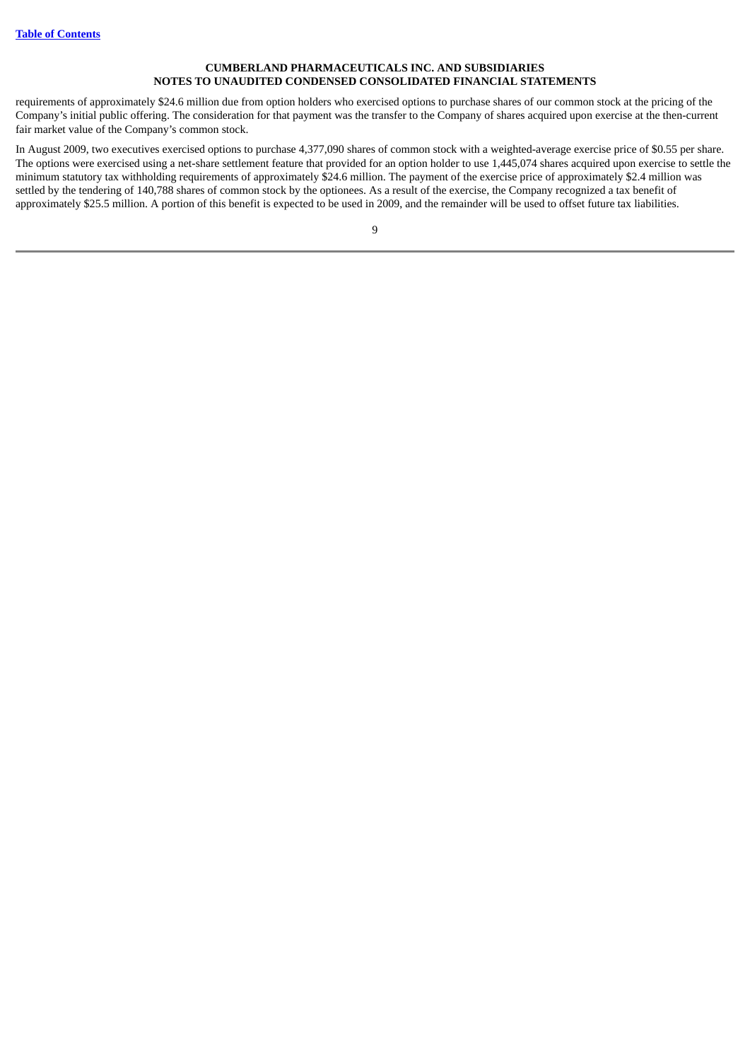requirements of approximately \$24.6 million due from option holders who exercised options to purchase shares of our common stock at the pricing of the Company's initial public offering. The consideration for that payment was the transfer to the Company of shares acquired upon exercise at the then-current fair market value of the Company's common stock.

In August 2009, two executives exercised options to purchase 4,377,090 shares of common stock with a weighted-average exercise price of \$0.55 per share. The options were exercised using a net-share settlement feature that provided for an option holder to use 1,445,074 shares acquired upon exercise to settle the minimum statutory tax withholding requirements of approximately \$24.6 million. The payment of the exercise price of approximately \$2.4 million was settled by the tendering of 140,788 shares of common stock by the optionees. As a result of the exercise, the Company recognized a tax benefit of approximately \$25.5 million. A portion of this benefit is expected to be used in 2009, and the remainder will be used to offset future tax liabilities.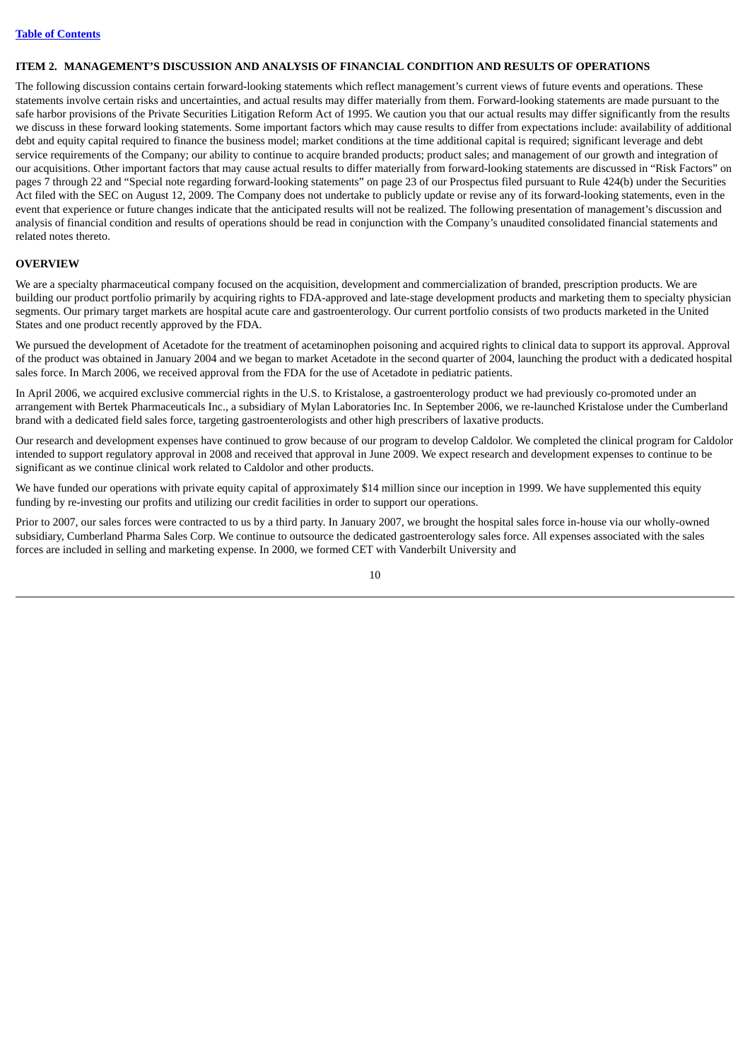#### <span id="page-12-0"></span>**ITEM 2. MANAGEMENT'S DISCUSSION AND ANALYSIS OF FINANCIAL CONDITION AND RESULTS OF OPERATIONS**

The following discussion contains certain forward-looking statements which reflect management's current views of future events and operations. These statements involve certain risks and uncertainties, and actual results may differ materially from them. Forward-looking statements are made pursuant to the safe harbor provisions of the Private Securities Litigation Reform Act of 1995. We caution you that our actual results may differ significantly from the results we discuss in these forward looking statements. Some important factors which may cause results to differ from expectations include: availability of additional debt and equity capital required to finance the business model; market conditions at the time additional capital is required; significant leverage and debt service requirements of the Company; our ability to continue to acquire branded products; product sales; and management of our growth and integration of our acquisitions. Other important factors that may cause actual results to differ materially from forward-looking statements are discussed in "Risk Factors" on pages 7 through 22 and "Special note regarding forward-looking statements" on page 23 of our Prospectus filed pursuant to Rule 424(b) under the Securities Act filed with the SEC on August 12, 2009. The Company does not undertake to publicly update or revise any of its forward-looking statements, even in the event that experience or future changes indicate that the anticipated results will not be realized. The following presentation of management's discussion and analysis of financial condition and results of operations should be read in conjunction with the Company's unaudited consolidated financial statements and related notes thereto.

#### **OVERVIEW**

We are a specialty pharmaceutical company focused on the acquisition, development and commercialization of branded, prescription products. We are building our product portfolio primarily by acquiring rights to FDA-approved and late-stage development products and marketing them to specialty physician segments. Our primary target markets are hospital acute care and gastroenterology. Our current portfolio consists of two products marketed in the United States and one product recently approved by the FDA.

We pursued the development of Acetadote for the treatment of acetaminophen poisoning and acquired rights to clinical data to support its approval. Approval of the product was obtained in January 2004 and we began to market Acetadote in the second quarter of 2004, launching the product with a dedicated hospital sales force. In March 2006, we received approval from the FDA for the use of Acetadote in pediatric patients.

In April 2006, we acquired exclusive commercial rights in the U.S. to Kristalose, a gastroenterology product we had previously co-promoted under an arrangement with Bertek Pharmaceuticals Inc., a subsidiary of Mylan Laboratories Inc. In September 2006, we re-launched Kristalose under the Cumberland brand with a dedicated field sales force, targeting gastroenterologists and other high prescribers of laxative products.

Our research and development expenses have continued to grow because of our program to develop Caldolor. We completed the clinical program for Caldolor intended to support regulatory approval in 2008 and received that approval in June 2009. We expect research and development expenses to continue to be significant as we continue clinical work related to Caldolor and other products.

We have funded our operations with private equity capital of approximately \$14 million since our inception in 1999. We have supplemented this equity funding by re-investing our profits and utilizing our credit facilities in order to support our operations.

Prior to 2007, our sales forces were contracted to us by a third party. In January 2007, we brought the hospital sales force in-house via our wholly-owned subsidiary, Cumberland Pharma Sales Corp. We continue to outsource the dedicated gastroenterology sales force. All expenses associated with the sales forces are included in selling and marketing expense. In 2000, we formed CET with Vanderbilt University and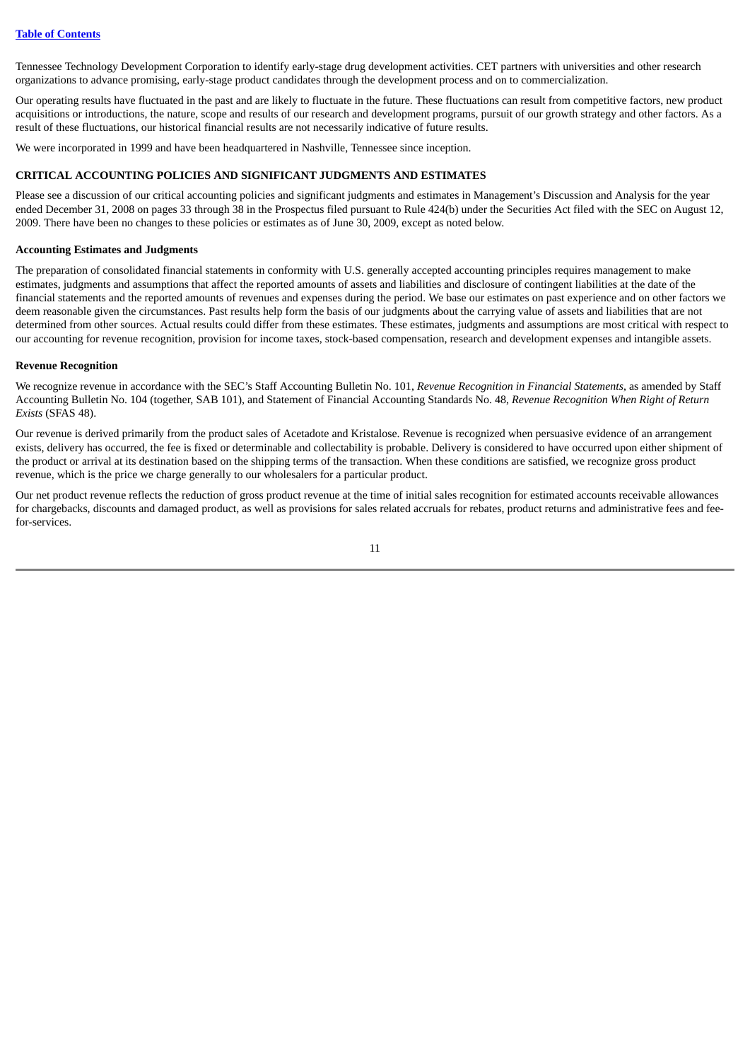Tennessee Technology Development Corporation to identify early-stage drug development activities. CET partners with universities and other research organizations to advance promising, early-stage product candidates through the development process and on to commercialization.

Our operating results have fluctuated in the past and are likely to fluctuate in the future. These fluctuations can result from competitive factors, new product acquisitions or introductions, the nature, scope and results of our research and development programs, pursuit of our growth strategy and other factors. As a result of these fluctuations, our historical financial results are not necessarily indicative of future results.

We were incorporated in 1999 and have been headquartered in Nashville, Tennessee since inception.

#### **CRITICAL ACCOUNTING POLICIES AND SIGNIFICANT JUDGMENTS AND ESTIMATES**

Please see a discussion of our critical accounting policies and significant judgments and estimates in Management's Discussion and Analysis for the year ended December 31, 2008 on pages 33 through 38 in the Prospectus filed pursuant to Rule 424(b) under the Securities Act filed with the SEC on August 12, 2009. There have been no changes to these policies or estimates as of June 30, 2009, except as noted below.

#### **Accounting Estimates and Judgments**

The preparation of consolidated financial statements in conformity with U.S. generally accepted accounting principles requires management to make estimates, judgments and assumptions that affect the reported amounts of assets and liabilities and disclosure of contingent liabilities at the date of the financial statements and the reported amounts of revenues and expenses during the period. We base our estimates on past experience and on other factors we deem reasonable given the circumstances. Past results help form the basis of our judgments about the carrying value of assets and liabilities that are not determined from other sources. Actual results could differ from these estimates. These estimates, judgments and assumptions are most critical with respect to our accounting for revenue recognition, provision for income taxes, stock-based compensation, research and development expenses and intangible assets.

#### **Revenue Recognition**

We recognize revenue in accordance with the SEC's Staff Accounting Bulletin No. 101, *Revenue Recognition in Financial Statements*, as amended by Staff Accounting Bulletin No. 104 (together, SAB 101), and Statement of Financial Accounting Standards No. 48, *Revenue Recognition When Right of Return Exists* (SFAS 48).

Our revenue is derived primarily from the product sales of Acetadote and Kristalose. Revenue is recognized when persuasive evidence of an arrangement exists, delivery has occurred, the fee is fixed or determinable and collectability is probable. Delivery is considered to have occurred upon either shipment of the product or arrival at its destination based on the shipping terms of the transaction. When these conditions are satisfied, we recognize gross product revenue, which is the price we charge generally to our wholesalers for a particular product.

Our net product revenue reflects the reduction of gross product revenue at the time of initial sales recognition for estimated accounts receivable allowances for chargebacks, discounts and damaged product, as well as provisions for sales related accruals for rebates, product returns and administrative fees and feefor-services.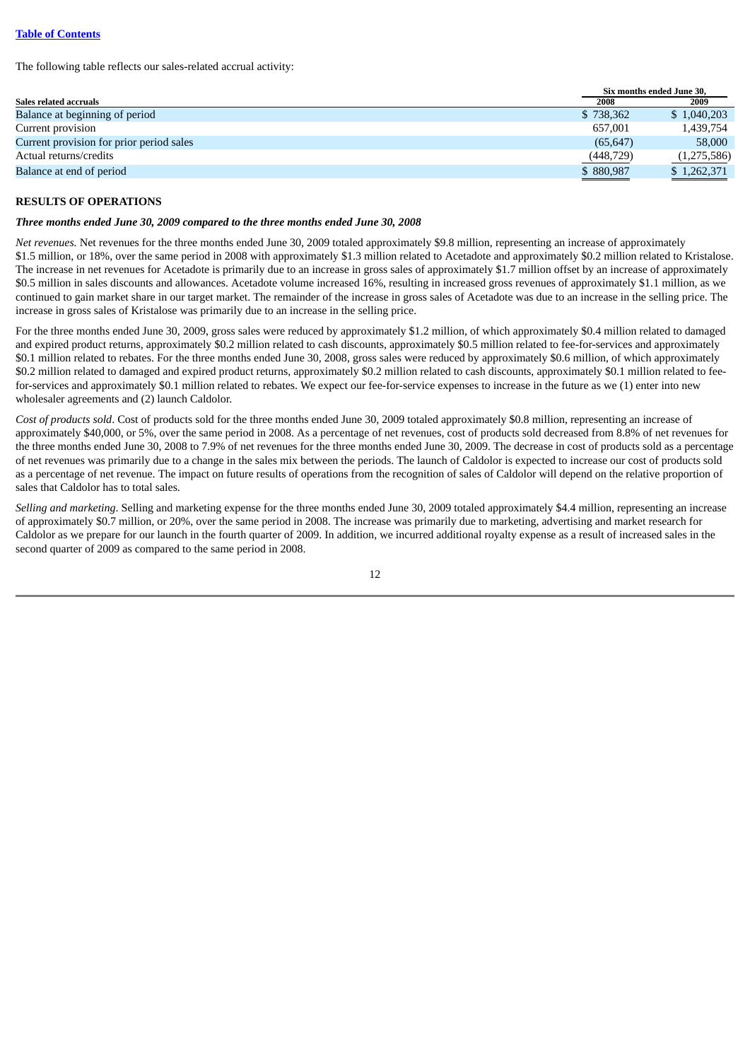The following table reflects our sales-related accrual activity:

|                                          |            | Six months ended June 30. |  |
|------------------------------------------|------------|---------------------------|--|
| Sales related accruals                   | 2008       | 2009                      |  |
| Balance at beginning of period           | \$738,362  | \$1,040,203               |  |
| Current provision                        | 657.001    | 1,439,754                 |  |
| Current provision for prior period sales | (65, 647)  | 58,000                    |  |
| Actual returns/credits                   | (448, 729) | (1,275,586)               |  |
| Balance at end of period                 | \$880,987  | \$1,262,371               |  |
|                                          |            |                           |  |

#### **RESULTS OF OPERATIONS**

#### *Three months ended June 30, 2009 compared to the three months ended June 30, 2008*

*Net revenues.* Net revenues for the three months ended June 30, 2009 totaled approximately \$9.8 million, representing an increase of approximately \$1.5 million, or 18%, over the same period in 2008 with approximately \$1.3 million related to Acetadote and approximately \$0.2 million related to Kristalose. The increase in net revenues for Acetadote is primarily due to an increase in gross sales of approximately \$1.7 million offset by an increase of approximately \$0.5 million in sales discounts and allowances. Acetadote volume increased 16%, resulting in increased gross revenues of approximately \$1.1 million, as we continued to gain market share in our target market. The remainder of the increase in gross sales of Acetadote was due to an increase in the selling price. The increase in gross sales of Kristalose was primarily due to an increase in the selling price.

For the three months ended June 30, 2009, gross sales were reduced by approximately \$1.2 million, of which approximately \$0.4 million related to damaged and expired product returns, approximately \$0.2 million related to cash discounts, approximately \$0.5 million related to fee-for-services and approximately \$0.1 million related to rebates. For the three months ended June 30, 2008, gross sales were reduced by approximately \$0.6 million, of which approximately \$0.2 million related to damaged and expired product returns, approximately \$0.2 million related to cash discounts, approximately \$0.1 million related to feefor-services and approximately \$0.1 million related to rebates. We expect our fee-for-service expenses to increase in the future as we (1) enter into new wholesaler agreements and (2) launch Caldolor.

*Cost of products sold*. Cost of products sold for the three months ended June 30, 2009 totaled approximately \$0.8 million, representing an increase of approximately \$40,000, or 5%, over the same period in 2008. As a percentage of net revenues, cost of products sold decreased from 8.8% of net revenues for the three months ended June 30, 2008 to 7.9% of net revenues for the three months ended June 30, 2009. The decrease in cost of products sold as a percentage of net revenues was primarily due to a change in the sales mix between the periods. The launch of Caldolor is expected to increase our cost of products sold as a percentage of net revenue. The impact on future results of operations from the recognition of sales of Caldolor will depend on the relative proportion of sales that Caldolor has to total sales.

*Selling and marketing*. Selling and marketing expense for the three months ended June 30, 2009 totaled approximately \$4.4 million, representing an increase of approximately \$0.7 million, or 20%, over the same period in 2008. The increase was primarily due to marketing, advertising and market research for Caldolor as we prepare for our launch in the fourth quarter of 2009. In addition, we incurred additional royalty expense as a result of increased sales in the second quarter of 2009 as compared to the same period in 2008.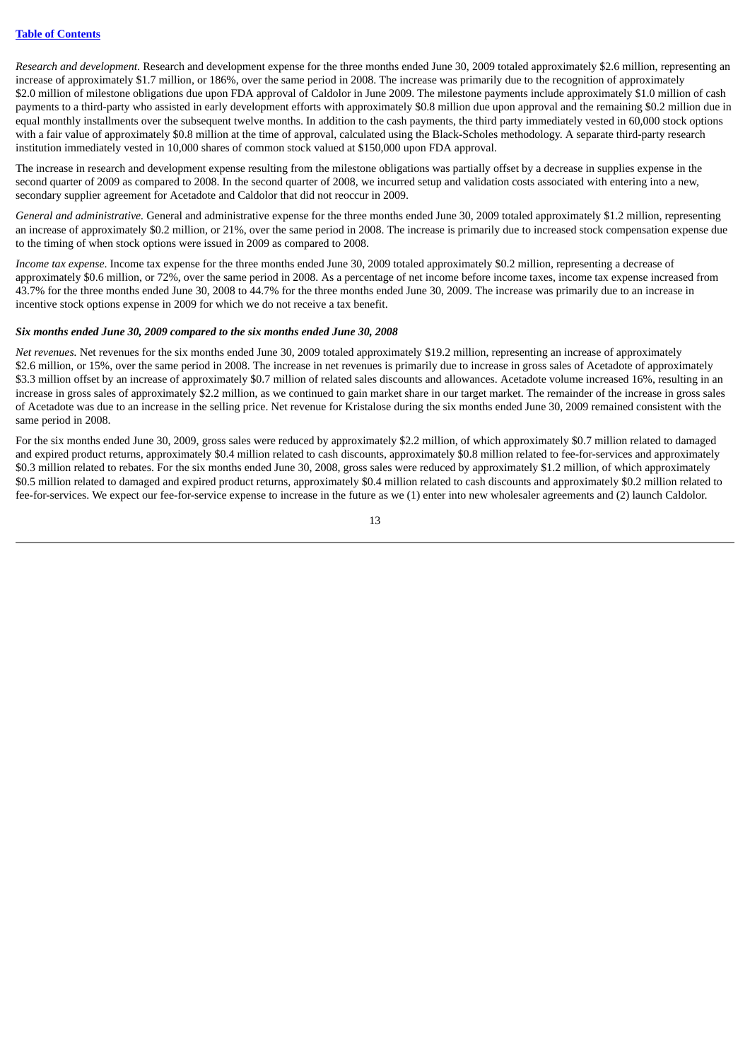*Research and development*. Research and development expense for the three months ended June 30, 2009 totaled approximately \$2.6 million, representing an increase of approximately \$1.7 million, or 186%, over the same period in 2008. The increase was primarily due to the recognition of approximately \$2.0 million of milestone obligations due upon FDA approval of Caldolor in June 2009. The milestone payments include approximately \$1.0 million of cash payments to a third-party who assisted in early development efforts with approximately \$0.8 million due upon approval and the remaining \$0.2 million due in equal monthly installments over the subsequent twelve months. In addition to the cash payments, the third party immediately vested in 60,000 stock options with a fair value of approximately \$0.8 million at the time of approval, calculated using the Black-Scholes methodology. A separate third-party research institution immediately vested in 10,000 shares of common stock valued at \$150,000 upon FDA approval.

The increase in research and development expense resulting from the milestone obligations was partially offset by a decrease in supplies expense in the second quarter of 2009 as compared to 2008. In the second quarter of 2008, we incurred setup and validation costs associated with entering into a new, secondary supplier agreement for Acetadote and Caldolor that did not reoccur in 2009.

*General and administrative.* General and administrative expense for the three months ended June 30, 2009 totaled approximately \$1.2 million, representing an increase of approximately \$0.2 million, or 21%, over the same period in 2008. The increase is primarily due to increased stock compensation expense due to the timing of when stock options were issued in 2009 as compared to 2008.

*Income tax expense*. Income tax expense for the three months ended June 30, 2009 totaled approximately \$0.2 million, representing a decrease of approximately \$0.6 million, or 72%, over the same period in 2008. As a percentage of net income before income taxes, income tax expense increased from 43.7% for the three months ended June 30, 2008 to 44.7% for the three months ended June 30, 2009. The increase was primarily due to an increase in incentive stock options expense in 2009 for which we do not receive a tax benefit.

#### *Six months ended June 30, 2009 compared to the six months ended June 30, 2008*

*Net revenues.* Net revenues for the six months ended June 30, 2009 totaled approximately \$19.2 million, representing an increase of approximately \$2.6 million, or 15%, over the same period in 2008. The increase in net revenues is primarily due to increase in gross sales of Acetadote of approximately \$3.3 million offset by an increase of approximately \$0.7 million of related sales discounts and allowances. Acetadote volume increased 16%, resulting in an increase in gross sales of approximately \$2.2 million, as we continued to gain market share in our target market. The remainder of the increase in gross sales of Acetadote was due to an increase in the selling price. Net revenue for Kristalose during the six months ended June 30, 2009 remained consistent with the same period in 2008.

For the six months ended June 30, 2009, gross sales were reduced by approximately \$2.2 million, of which approximately \$0.7 million related to damaged and expired product returns, approximately \$0.4 million related to cash discounts, approximately \$0.8 million related to fee-for-services and approximately \$0.3 million related to rebates. For the six months ended June 30, 2008, gross sales were reduced by approximately \$1.2 million, of which approximately \$0.5 million related to damaged and expired product returns, approximately \$0.4 million related to cash discounts and approximately \$0.2 million related to fee-for-services. We expect our fee-for-service expense to increase in the future as we (1) enter into new wholesaler agreements and (2) launch Caldolor.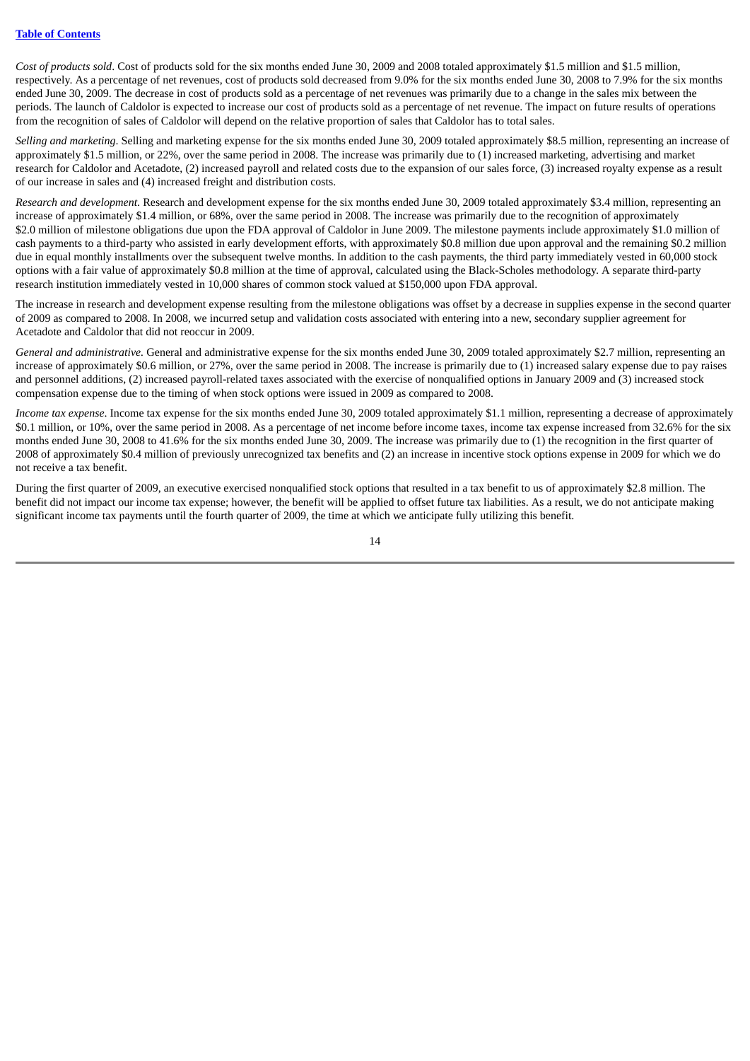*Cost of products sold*. Cost of products sold for the six months ended June 30, 2009 and 2008 totaled approximately \$1.5 million and \$1.5 million, respectively. As a percentage of net revenues, cost of products sold decreased from 9.0% for the six months ended June 30, 2008 to 7.9% for the six months ended June 30, 2009. The decrease in cost of products sold as a percentage of net revenues was primarily due to a change in the sales mix between the periods. The launch of Caldolor is expected to increase our cost of products sold as a percentage of net revenue. The impact on future results of operations from the recognition of sales of Caldolor will depend on the relative proportion of sales that Caldolor has to total sales.

*Selling and marketing*. Selling and marketing expense for the six months ended June 30, 2009 totaled approximately \$8.5 million, representing an increase of approximately \$1.5 million, or 22%, over the same period in 2008. The increase was primarily due to (1) increased marketing, advertising and market research for Caldolor and Acetadote, (2) increased payroll and related costs due to the expansion of our sales force, (3) increased royalty expense as a result of our increase in sales and (4) increased freight and distribution costs.

*Research and development*. Research and development expense for the six months ended June 30, 2009 totaled approximately \$3.4 million, representing an increase of approximately \$1.4 million, or 68%, over the same period in 2008. The increase was primarily due to the recognition of approximately \$2.0 million of milestone obligations due upon the FDA approval of Caldolor in June 2009. The milestone payments include approximately \$1.0 million of cash payments to a third-party who assisted in early development efforts, with approximately \$0.8 million due upon approval and the remaining \$0.2 million due in equal monthly installments over the subsequent twelve months. In addition to the cash payments, the third party immediately vested in 60,000 stock options with a fair value of approximately \$0.8 million at the time of approval, calculated using the Black-Scholes methodology. A separate third-party research institution immediately vested in 10,000 shares of common stock valued at \$150,000 upon FDA approval.

The increase in research and development expense resulting from the milestone obligations was offset by a decrease in supplies expense in the second quarter of 2009 as compared to 2008. In 2008, we incurred setup and validation costs associated with entering into a new, secondary supplier agreement for Acetadote and Caldolor that did not reoccur in 2009.

*General and administrative.* General and administrative expense for the six months ended June 30, 2009 totaled approximately \$2.7 million, representing an increase of approximately \$0.6 million, or 27%, over the same period in 2008. The increase is primarily due to (1) increased salary expense due to pay raises and personnel additions, (2) increased payroll-related taxes associated with the exercise of nonqualified options in January 2009 and (3) increased stock compensation expense due to the timing of when stock options were issued in 2009 as compared to 2008.

*Income tax expense*. Income tax expense for the six months ended June 30, 2009 totaled approximately \$1.1 million, representing a decrease of approximately \$0.1 million, or 10%, over the same period in 2008. As a percentage of net income before income taxes, income tax expense increased from 32.6% for the six months ended June 30, 2008 to 41.6% for the six months ended June 30, 2009. The increase was primarily due to (1) the recognition in the first quarter of 2008 of approximately \$0.4 million of previously unrecognized tax benefits and (2) an increase in incentive stock options expense in 2009 for which we do not receive a tax benefit.

During the first quarter of 2009, an executive exercised nonqualified stock options that resulted in a tax benefit to us of approximately \$2.8 million. The benefit did not impact our income tax expense; however, the benefit will be applied to offset future tax liabilities. As a result, we do not anticipate making significant income tax payments until the fourth quarter of 2009, the time at which we anticipate fully utilizing this benefit.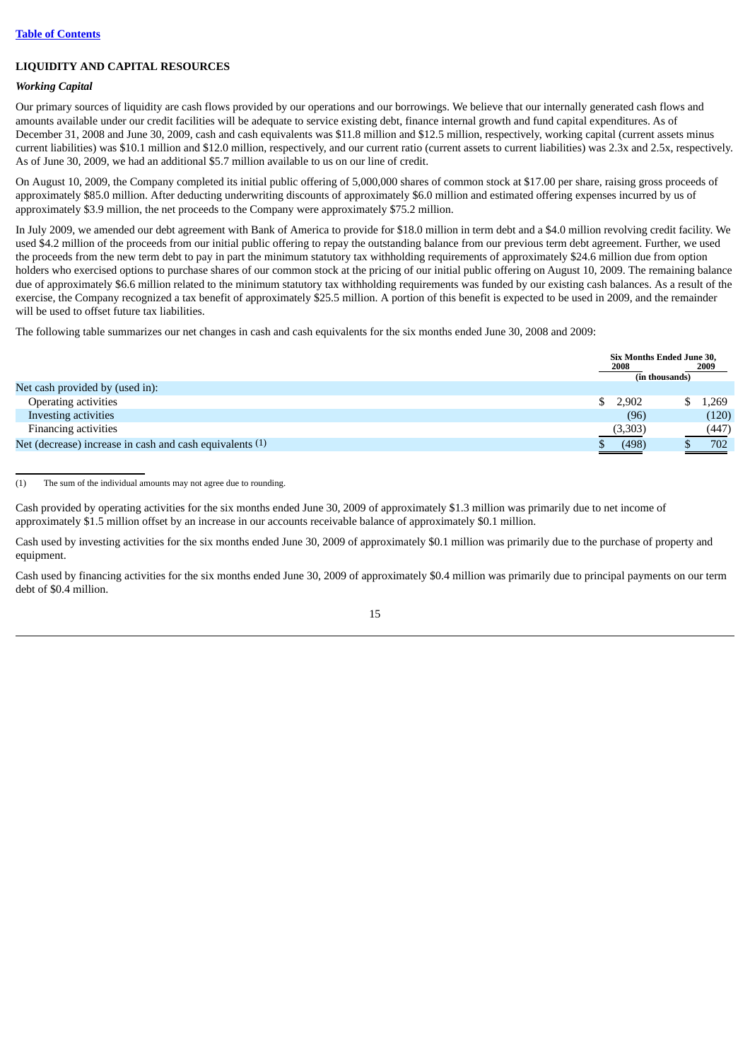#### **LIQUIDITY AND CAPITAL RESOURCES**

#### *Working Capital*

Our primary sources of liquidity are cash flows provided by our operations and our borrowings. We believe that our internally generated cash flows and amounts available under our credit facilities will be adequate to service existing debt, finance internal growth and fund capital expenditures. As of December 31, 2008 and June 30, 2009, cash and cash equivalents was \$11.8 million and \$12.5 million, respectively, working capital (current assets minus current liabilities) was \$10.1 million and \$12.0 million, respectively, and our current ratio (current assets to current liabilities) was 2.3x and 2.5x, respectively. As of June 30, 2009, we had an additional \$5.7 million available to us on our line of credit.

On August 10, 2009, the Company completed its initial public offering of 5,000,000 shares of common stock at \$17.00 per share, raising gross proceeds of approximately \$85.0 million. After deducting underwriting discounts of approximately \$6.0 million and estimated offering expenses incurred by us of approximately \$3.9 million, the net proceeds to the Company were approximately \$75.2 million.

In July 2009, we amended our debt agreement with Bank of America to provide for \$18.0 million in term debt and a \$4.0 million revolving credit facility. We used \$4.2 million of the proceeds from our initial public offering to repay the outstanding balance from our previous term debt agreement. Further, we used the proceeds from the new term debt to pay in part the minimum statutory tax withholding requirements of approximately \$24.6 million due from option holders who exercised options to purchase shares of our common stock at the pricing of our initial public offering on August 10, 2009. The remaining balance due of approximately \$6.6 million related to the minimum statutory tax withholding requirements was funded by our existing cash balances. As a result of the exercise, the Company recognized a tax benefit of approximately \$25.5 million. A portion of this benefit is expected to be used in 2009, and the remainder will be used to offset future tax liabilities.

The following table summarizes our net changes in cash and cash equivalents for the six months ended June 30, 2008 and 2009:

|                                                          | <b>Six Months Ended June 30,</b><br>2008<br>(in thousands) | 2009  |
|----------------------------------------------------------|------------------------------------------------------------|-------|
| Net cash provided by (used in):                          |                                                            |       |
| Operating activities                                     | 2,902<br>\$.                                               | 1.269 |
| Investing activities                                     | (96)                                                       | (120) |
| <b>Financing activities</b>                              | (3,303)                                                    | (447) |
| Net (decrease) increase in cash and cash equivalents (1) | (498)                                                      | 702   |

(1) The sum of the individual amounts may not agree due to rounding.

Cash provided by operating activities for the six months ended June 30, 2009 of approximately \$1.3 million was primarily due to net income of approximately \$1.5 million offset by an increase in our accounts receivable balance of approximately \$0.1 million.

Cash used by investing activities for the six months ended June 30, 2009 of approximately \$0.1 million was primarily due to the purchase of property and equipment.

Cash used by financing activities for the six months ended June 30, 2009 of approximately \$0.4 million was primarily due to principal payments on our term debt of \$0.4 million.

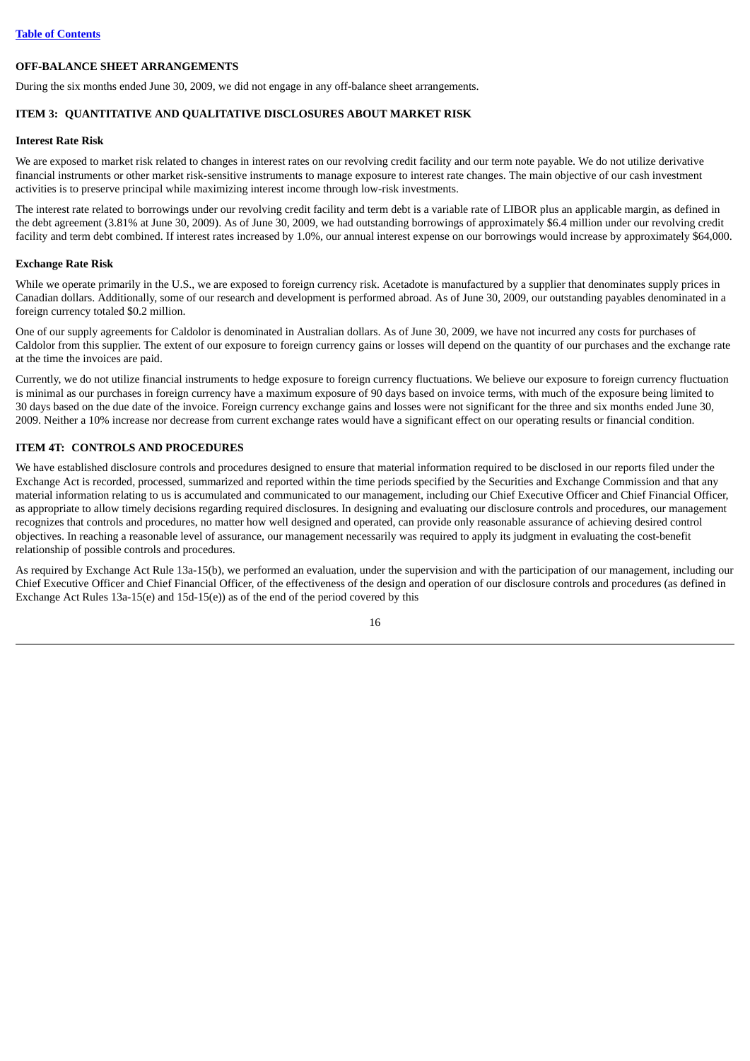#### **OFF-BALANCE SHEET ARRANGEMENTS**

<span id="page-18-0"></span>During the six months ended June 30, 2009, we did not engage in any off-balance sheet arrangements.

# **ITEM 3: QUANTITATIVE AND QUALITATIVE DISCLOSURES ABOUT MARKET RISK**

# **Interest Rate Risk**

We are exposed to market risk related to changes in interest rates on our revolving credit facility and our term note payable. We do not utilize derivative financial instruments or other market risk-sensitive instruments to manage exposure to interest rate changes. The main objective of our cash investment activities is to preserve principal while maximizing interest income through low-risk investments.

The interest rate related to borrowings under our revolving credit facility and term debt is a variable rate of LIBOR plus an applicable margin, as defined in the debt agreement (3.81% at June 30, 2009). As of June 30, 2009, we had outstanding borrowings of approximately \$6.4 million under our revolving credit facility and term debt combined. If interest rates increased by 1.0%, our annual interest expense on our borrowings would increase by approximately \$64,000.

#### **Exchange Rate Risk**

While we operate primarily in the U.S., we are exposed to foreign currency risk. Acetadote is manufactured by a supplier that denominates supply prices in Canadian dollars. Additionally, some of our research and development is performed abroad. As of June 30, 2009, our outstanding payables denominated in a foreign currency totaled \$0.2 million.

One of our supply agreements for Caldolor is denominated in Australian dollars. As of June 30, 2009, we have not incurred any costs for purchases of Caldolor from this supplier. The extent of our exposure to foreign currency gains or losses will depend on the quantity of our purchases and the exchange rate at the time the invoices are paid.

Currently, we do not utilize financial instruments to hedge exposure to foreign currency fluctuations. We believe our exposure to foreign currency fluctuation is minimal as our purchases in foreign currency have a maximum exposure of 90 days based on invoice terms, with much of the exposure being limited to 30 days based on the due date of the invoice. Foreign currency exchange gains and losses were not significant for the three and six months ended June 30, 2009. Neither a 10% increase nor decrease from current exchange rates would have a significant effect on our operating results or financial condition.

# <span id="page-18-1"></span>**ITEM 4T: CONTROLS AND PROCEDURES**

We have established disclosure controls and procedures designed to ensure that material information required to be disclosed in our reports filed under the Exchange Act is recorded, processed, summarized and reported within the time periods specified by the Securities and Exchange Commission and that any material information relating to us is accumulated and communicated to our management, including our Chief Executive Officer and Chief Financial Officer, as appropriate to allow timely decisions regarding required disclosures. In designing and evaluating our disclosure controls and procedures, our management recognizes that controls and procedures, no matter how well designed and operated, can provide only reasonable assurance of achieving desired control objectives. In reaching a reasonable level of assurance, our management necessarily was required to apply its judgment in evaluating the cost-benefit relationship of possible controls and procedures.

As required by Exchange Act Rule 13a-15(b), we performed an evaluation, under the supervision and with the participation of our management, including our Chief Executive Officer and Chief Financial Officer, of the effectiveness of the design and operation of our disclosure controls and procedures (as defined in Exchange Act Rules 13a-15(e) and 15d-15(e)) as of the end of the period covered by this

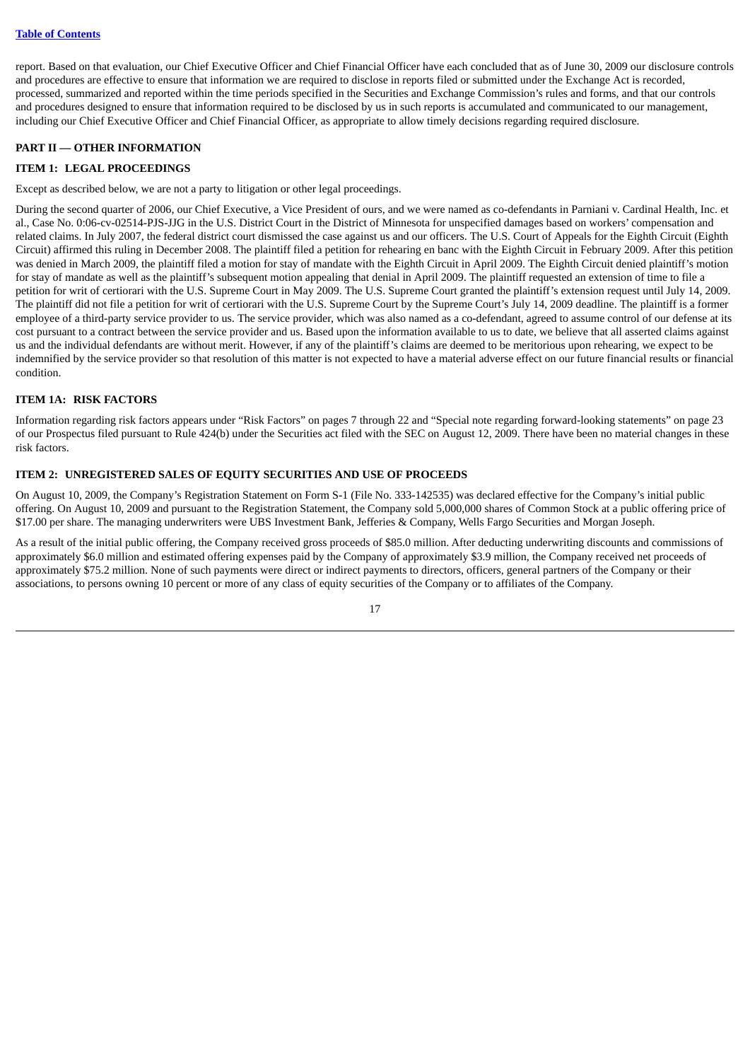report. Based on that evaluation, our Chief Executive Officer and Chief Financial Officer have each concluded that as of June 30, 2009 our disclosure controls and procedures are effective to ensure that information we are required to disclose in reports filed or submitted under the Exchange Act is recorded, processed, summarized and reported within the time periods specified in the Securities and Exchange Commission's rules and forms, and that our controls and procedures designed to ensure that information required to be disclosed by us in such reports is accumulated and communicated to our management, including our Chief Executive Officer and Chief Financial Officer, as appropriate to allow timely decisions regarding required disclosure.

#### <span id="page-19-0"></span>**PART II — OTHER INFORMATION**

# <span id="page-19-1"></span>**ITEM 1: LEGAL PROCEEDINGS**

Except as described below, we are not a party to litigation or other legal proceedings.

During the second quarter of 2006, our Chief Executive, a Vice President of ours, and we were named as co-defendants in Parniani v. Cardinal Health, Inc. et al., Case No. 0:06-cv-02514-PJS-JJG in the U.S. District Court in the District of Minnesota for unspecified damages based on workers' compensation and related claims. In July 2007, the federal district court dismissed the case against us and our officers. The U.S. Court of Appeals for the Eighth Circuit (Eighth Circuit) affirmed this ruling in December 2008. The plaintiff filed a petition for rehearing en banc with the Eighth Circuit in February 2009. After this petition was denied in March 2009, the plaintiff filed a motion for stay of mandate with the Eighth Circuit in April 2009. The Eighth Circuit denied plaintiff's motion for stay of mandate as well as the plaintiff's subsequent motion appealing that denial in April 2009. The plaintiff requested an extension of time to file a petition for writ of certiorari with the U.S. Supreme Court in May 2009. The U.S. Supreme Court granted the plaintiff's extension request until July 14, 2009. The plaintiff did not file a petition for writ of certiorari with the U.S. Supreme Court by the Supreme Court's July 14, 2009 deadline. The plaintiff is a former employee of a third-party service provider to us. The service provider, which was also named as a co-defendant, agreed to assume control of our defense at its cost pursuant to a contract between the service provider and us. Based upon the information available to us to date, we believe that all asserted claims against us and the individual defendants are without merit. However, if any of the plaintiff's claims are deemed to be meritorious upon rehearing, we expect to be indemnified by the service provider so that resolution of this matter is not expected to have a material adverse effect on our future financial results or financial condition.

#### <span id="page-19-2"></span>**ITEM 1A: RISK FACTORS**

Information regarding risk factors appears under "Risk Factors" on pages 7 through 22 and "Special note regarding forward-looking statements" on page 23 of our Prospectus filed pursuant to Rule 424(b) under the Securities act filed with the SEC on August 12, 2009. There have been no material changes in these risk factors.

# <span id="page-19-3"></span>**ITEM 2: UNREGISTERED SALES OF EQUITY SECURITIES AND USE OF PROCEEDS**

On August 10, 2009, the Company's Registration Statement on Form S-1 (File No. 333-142535) was declared effective for the Company's initial public offering. On August 10, 2009 and pursuant to the Registration Statement, the Company sold 5,000,000 shares of Common Stock at a public offering price of \$17.00 per share. The managing underwriters were UBS Investment Bank, Jefferies & Company, Wells Fargo Securities and Morgan Joseph.

As a result of the initial public offering, the Company received gross proceeds of \$85.0 million. After deducting underwriting discounts and commissions of approximately \$6.0 million and estimated offering expenses paid by the Company of approximately \$3.9 million, the Company received net proceeds of approximately \$75.2 million. None of such payments were direct or indirect payments to directors, officers, general partners of the Company or their associations, to persons owning 10 percent or more of any class of equity securities of the Company or to affiliates of the Company.

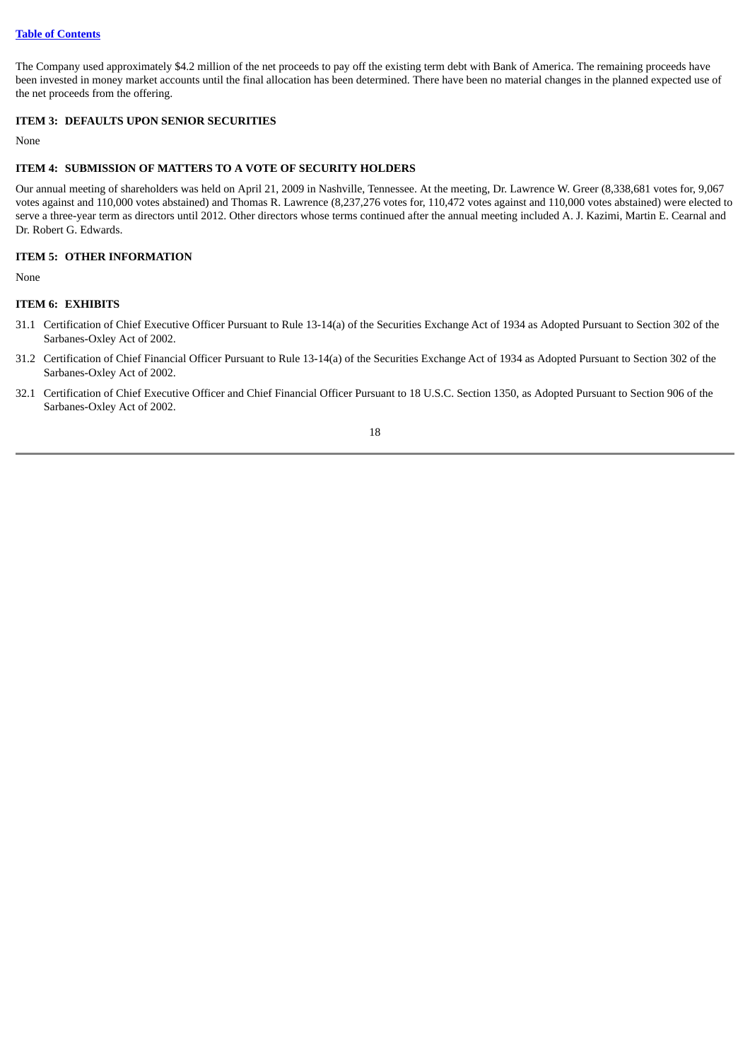The Company used approximately \$4.2 million of the net proceeds to pay off the existing term debt with Bank of America. The remaining proceeds have been invested in money market accounts until the final allocation has been determined. There have been no material changes in the planned expected use of the net proceeds from the offering.

#### <span id="page-20-0"></span>**ITEM 3: DEFAULTS UPON SENIOR SECURITIES**

<span id="page-20-1"></span>None

#### **ITEM 4: SUBMISSION OF MATTERS TO A VOTE OF SECURITY HOLDERS**

Our annual meeting of shareholders was held on April 21, 2009 in Nashville, Tennessee. At the meeting, Dr. Lawrence W. Greer (8,338,681 votes for, 9,067 votes against and 110,000 votes abstained) and Thomas R. Lawrence (8,237,276 votes for, 110,472 votes against and 110,000 votes abstained) were elected to serve a three-year term as directors until 2012. Other directors whose terms continued after the annual meeting included A. J. Kazimi, Martin E. Cearnal and Dr. Robert G. Edwards.

#### <span id="page-20-2"></span>**ITEM 5: OTHER INFORMATION**

<span id="page-20-3"></span>None

#### **ITEM 6: EXHIBITS**

- 31.1 Certification of Chief Executive Officer Pursuant to Rule 13-14(a) of the Securities Exchange Act of 1934 as Adopted Pursuant to Section 302 of the Sarbanes-Oxley Act of 2002.
- 31.2 Certification of Chief Financial Officer Pursuant to Rule 13-14(a) of the Securities Exchange Act of 1934 as Adopted Pursuant to Section 302 of the Sarbanes-Oxley Act of 2002.
- 32.1 Certification of Chief Executive Officer and Chief Financial Officer Pursuant to 18 U.S.C. Section 1350, as Adopted Pursuant to Section 906 of the Sarbanes-Oxley Act of 2002.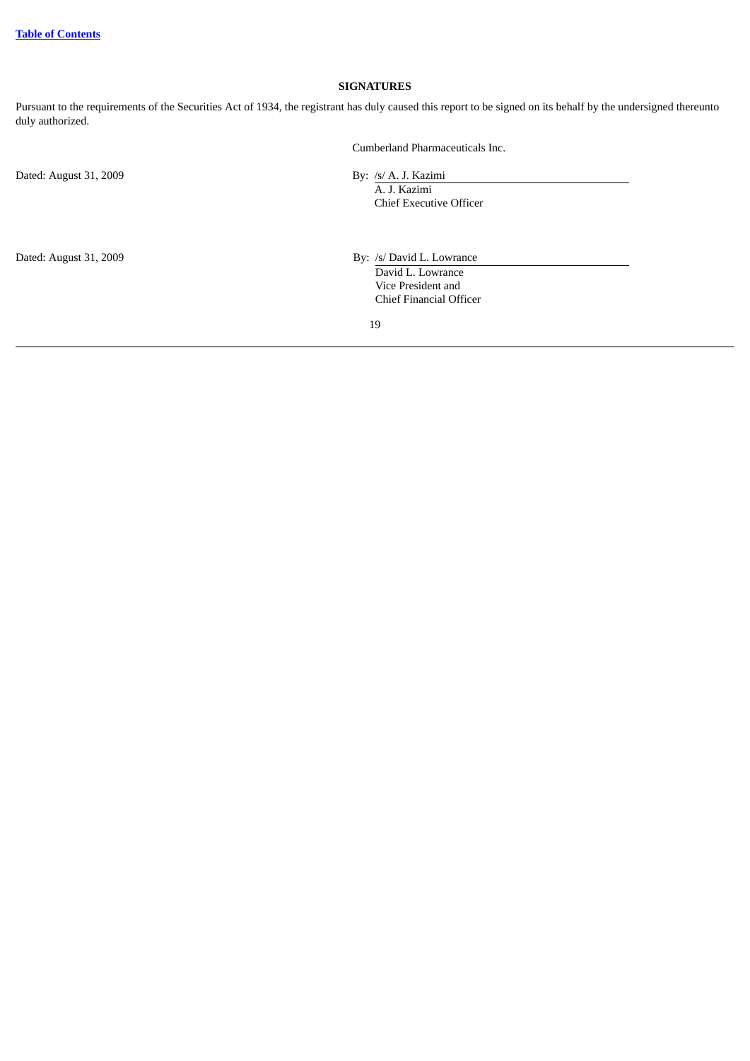# **SIGNATURES**

<span id="page-21-0"></span>Pursuant to the requirements of the Securities Act of 1934, the registrant has duly caused this report to be signed on its behalf by the undersigned thereunto duly authorized.

|                        | Cumberland Pharmaceuticals Inc.                                                                       |  |
|------------------------|-------------------------------------------------------------------------------------------------------|--|
| Dated: August 31, 2009 | By: /s/ A. J. Kazimi<br>A. J. Kazimi<br><b>Chief Executive Officer</b>                                |  |
| Dated: August 31, 2009 | By: /s/ David L. Lowrance<br>David L. Lowrance<br>Vice President and<br>Chief Financial Officer<br>19 |  |
|                        |                                                                                                       |  |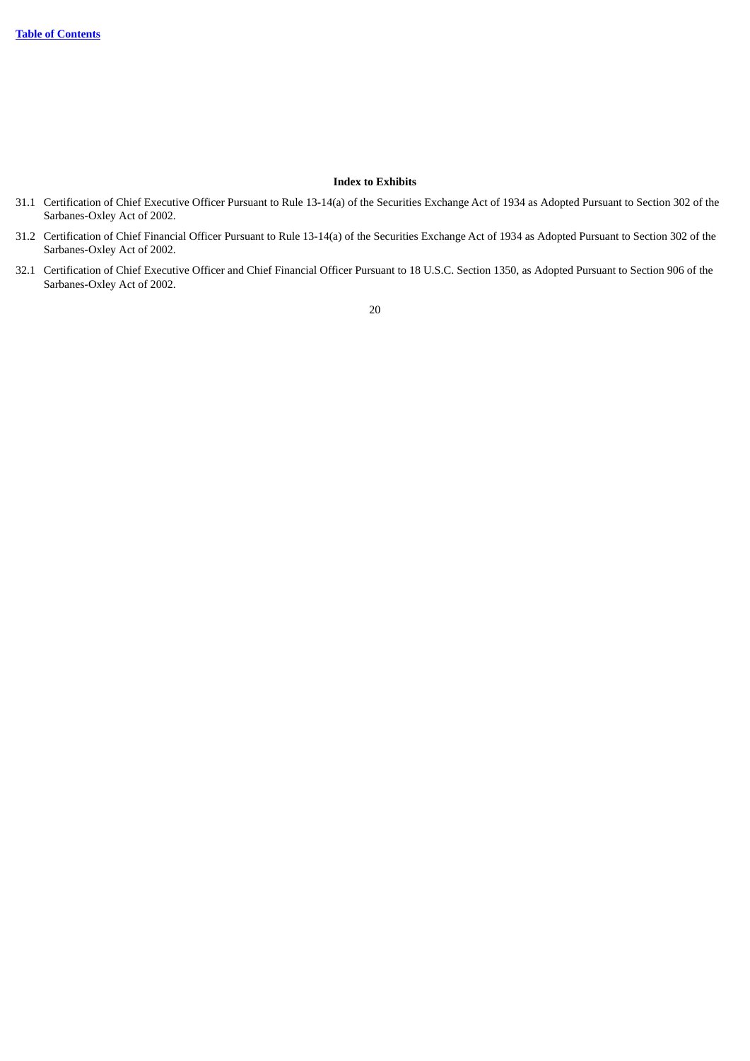# **Index to Exhibits**

- 31.1 Certification of Chief Executive Officer Pursuant to Rule 13-14(a) of the Securities Exchange Act of 1934 as Adopted Pursuant to Section 302 of the Sarbanes-Oxley Act of 2002.
- 31.2 Certification of Chief Financial Officer Pursuant to Rule 13-14(a) of the Securities Exchange Act of 1934 as Adopted Pursuant to Section 302 of the Sarbanes-Oxley Act of 2002.
- 32.1 Certification of Chief Executive Officer and Chief Financial Officer Pursuant to 18 U.S.C. Section 1350, as Adopted Pursuant to Section 906 of the Sarbanes-Oxley Act of 2002.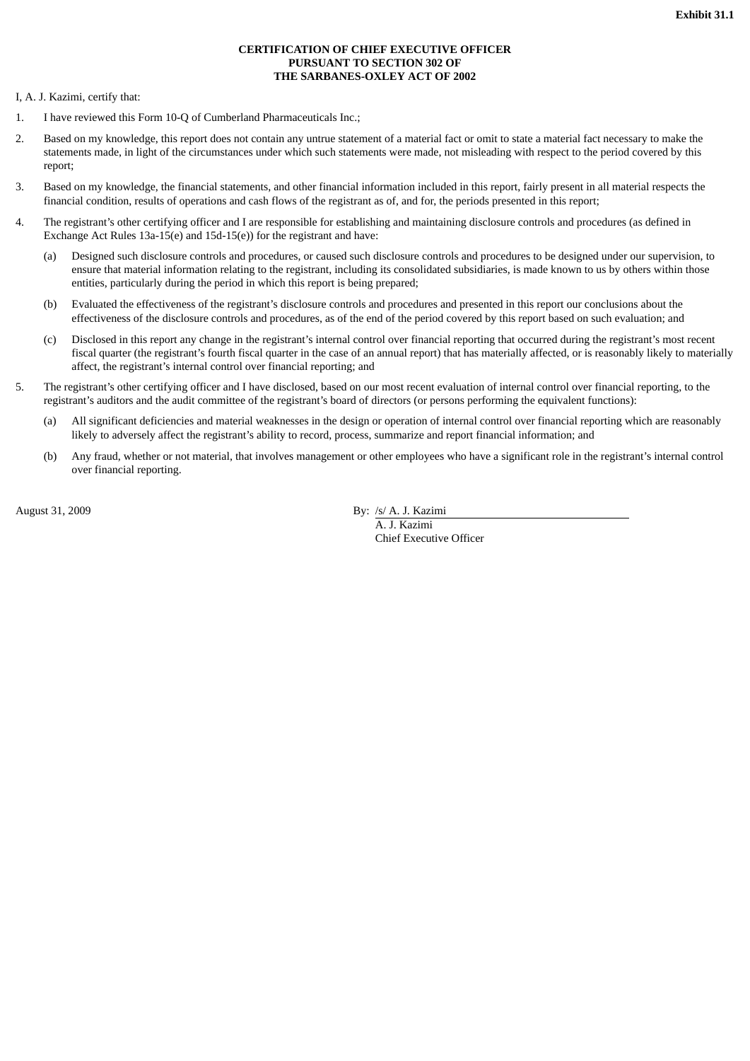#### **CERTIFICATION OF CHIEF EXECUTIVE OFFICER PURSUANT TO SECTION 302 OF THE SARBANES-OXLEY ACT OF 2002**

I, A. J. Kazimi, certify that:

- 1. I have reviewed this Form 10-Q of Cumberland Pharmaceuticals Inc.;
- 2. Based on my knowledge, this report does not contain any untrue statement of a material fact or omit to state a material fact necessary to make the statements made, in light of the circumstances under which such statements were made, not misleading with respect to the period covered by this report;
- 3. Based on my knowledge, the financial statements, and other financial information included in this report, fairly present in all material respects the financial condition, results of operations and cash flows of the registrant as of, and for, the periods presented in this report;
- 4. The registrant's other certifying officer and I are responsible for establishing and maintaining disclosure controls and procedures (as defined in Exchange Act Rules 13a-15(e) and 15d-15(e)) for the registrant and have:
	- (a) Designed such disclosure controls and procedures, or caused such disclosure controls and procedures to be designed under our supervision, to ensure that material information relating to the registrant, including its consolidated subsidiaries, is made known to us by others within those entities, particularly during the period in which this report is being prepared;
	- (b) Evaluated the effectiveness of the registrant's disclosure controls and procedures and presented in this report our conclusions about the effectiveness of the disclosure controls and procedures, as of the end of the period covered by this report based on such evaluation; and
	- (c) Disclosed in this report any change in the registrant's internal control over financial reporting that occurred during the registrant's most recent fiscal quarter (the registrant's fourth fiscal quarter in the case of an annual report) that has materially affected, or is reasonably likely to materially affect, the registrant's internal control over financial reporting; and
- 5. The registrant's other certifying officer and I have disclosed, based on our most recent evaluation of internal control over financial reporting, to the registrant's auditors and the audit committee of the registrant's board of directors (or persons performing the equivalent functions):
	- (a) All significant deficiencies and material weaknesses in the design or operation of internal control over financial reporting which are reasonably likely to adversely affect the registrant's ability to record, process, summarize and report financial information; and
	- (b) Any fraud, whether or not material, that involves management or other employees who have a significant role in the registrant's internal control over financial reporting.

August 31, 2009 By: /s/ A. J. Kazimi

A. J. Kazimi Chief Executive Officer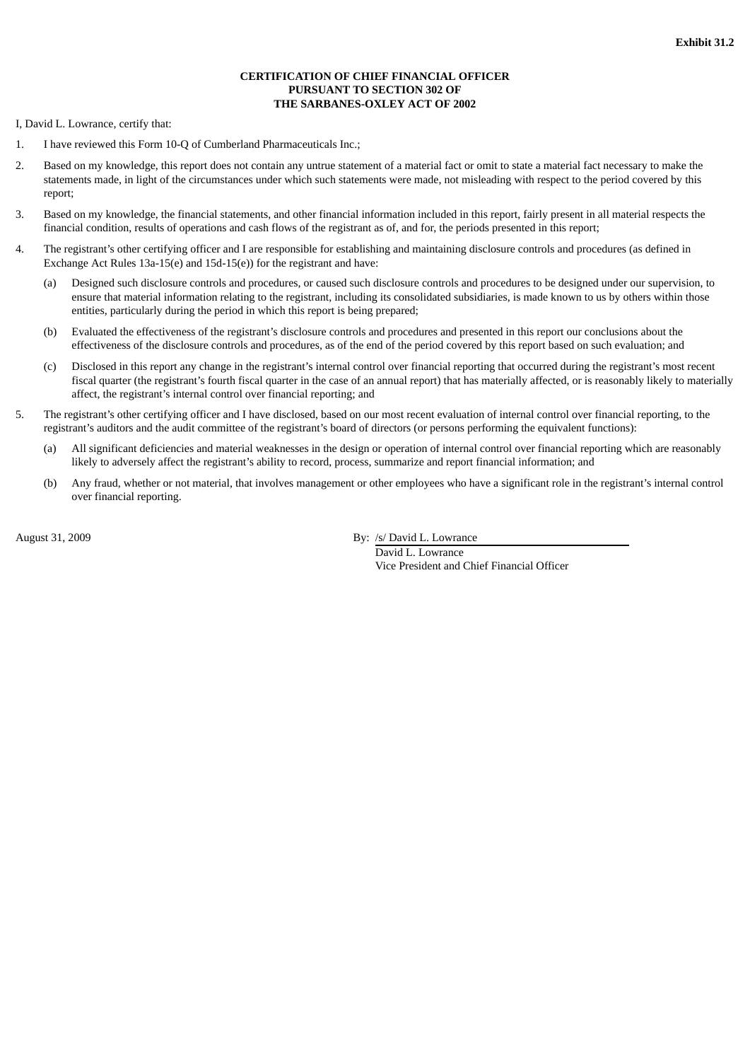#### **CERTIFICATION OF CHIEF FINANCIAL OFFICER PURSUANT TO SECTION 302 OF THE SARBANES-OXLEY ACT OF 2002**

I, David L. Lowrance, certify that:

- 1. I have reviewed this Form 10-Q of Cumberland Pharmaceuticals Inc.;
- 2. Based on my knowledge, this report does not contain any untrue statement of a material fact or omit to state a material fact necessary to make the statements made, in light of the circumstances under which such statements were made, not misleading with respect to the period covered by this report;
- 3. Based on my knowledge, the financial statements, and other financial information included in this report, fairly present in all material respects the financial condition, results of operations and cash flows of the registrant as of, and for, the periods presented in this report;
- 4. The registrant's other certifying officer and I are responsible for establishing and maintaining disclosure controls and procedures (as defined in Exchange Act Rules 13a-15(e) and 15d-15(e)) for the registrant and have:
	- (a) Designed such disclosure controls and procedures, or caused such disclosure controls and procedures to be designed under our supervision, to ensure that material information relating to the registrant, including its consolidated subsidiaries, is made known to us by others within those entities, particularly during the period in which this report is being prepared;
	- (b) Evaluated the effectiveness of the registrant's disclosure controls and procedures and presented in this report our conclusions about the effectiveness of the disclosure controls and procedures, as of the end of the period covered by this report based on such evaluation; and
	- (c) Disclosed in this report any change in the registrant's internal control over financial reporting that occurred during the registrant's most recent fiscal quarter (the registrant's fourth fiscal quarter in the case of an annual report) that has materially affected, or is reasonably likely to materially affect, the registrant's internal control over financial reporting; and
- 5. The registrant's other certifying officer and I have disclosed, based on our most recent evaluation of internal control over financial reporting, to the registrant's auditors and the audit committee of the registrant's board of directors (or persons performing the equivalent functions):
	- (a) All significant deficiencies and material weaknesses in the design or operation of internal control over financial reporting which are reasonably likely to adversely affect the registrant's ability to record, process, summarize and report financial information; and
	- (b) Any fraud, whether or not material, that involves management or other employees who have a significant role in the registrant's internal control over financial reporting.

August 31, 2009 **By:** /s/ David L. Lowrance

David L. Lowrance Vice President and Chief Financial Officer